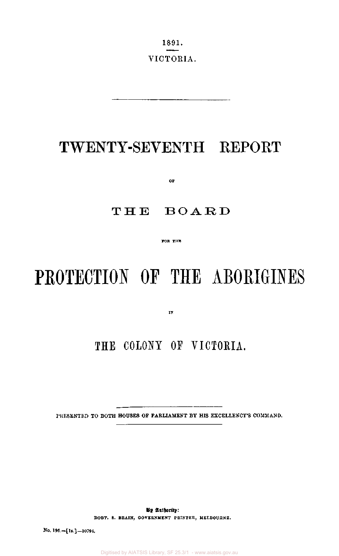1891. VICTORIA.

# TWENTY-SEVENTH REPORT

**OF** 

# THE BOARD

**FOR THE** 

# PROTECTION OF THE ABORIGINES

**IN** 

# THE COLONY OF VICTORIA.

PRESENTED TO BOTH HOUSES OF PARLIAMENT BY HIS EXCELLENCY'S COMMAND.

**By Authority: ROBT. S. BRAIN, GOVERNMENT PRINTER, MELBOURNE.** 

**No. 196.—[ls.]—10794.** 

Digitised by AIATSIS Library, SF 25.3/1 - www.aiatsis.gov.au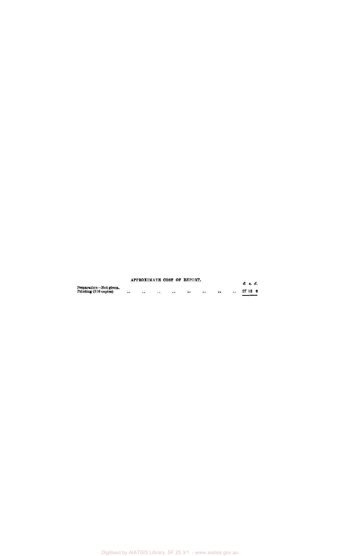|                                                 | APPROXIMATE COST OF REPORT. |      |  |                  |      |       | £ s. d. |
|-------------------------------------------------|-----------------------------|------|--|------------------|------|-------|---------|
| Preparation-Not given.<br>Printing (810 copies) | <br>                        | <br> |  | $\bullet\bullet$ | <br> | 27 10 |         |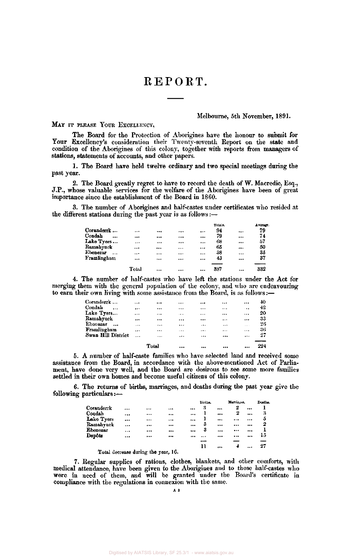# REPORT.

#### Melbourne, 5th November, 1891.

#### MAY IT PLEASE YOUR EXCELLENCY,

The Board for the Protection of Aborigines have the honour to submit for Your Excellency's consideration their Twenty-seventh Report on the state and condition of the Aborigines of this colony, together with reports from managers of stations, statements of accounts, and other papers.

1. The Board have held twelve ordinary and two special meetings during the past year.

2. The Board greatly regret to have to record the death of W. Macredie, Esq., J.P., whose valuable services for the welfare of the Aborigines have been of great importance since the establishment of the Board in 1860.

3. The number of Aborigines and half-castes under certificates who resided at the different stations during the past year is as follows:—

|                    |       |          |          | Totals. |          | Average. |
|--------------------|-------|----------|----------|---------|----------|----------|
| Coranderrk         |       |          |          | <br>94  | $\cdots$ | 79       |
| Condah<br>$\cdots$ |       |          |          | <br>79  |          | 74       |
| Lake Tyers         |       |          |          | <br>68  |          | 57       |
| Ramahyuck          |       |          | $\cdots$ | <br>65  |          | 50       |
| Ebenezar<br>       |       | $\cdots$ |          | <br>38  |          | 35       |
| Framlingham        |       | $\cdots$ |          | <br>43  |          | 37       |
|                    | Total |          |          | <br>387 |          | 332      |

4. The number of half-castes who have left the stations under the Act for merging them with the general population of the colony, and who are endeavouring to earn their own living with some assistance from the Board, is as follows:—

|                    |          | Total |          | $\cdots$ |          |                      | 224 |
|--------------------|----------|-------|----------|----------|----------|----------------------|-----|
| Swan Hill District | $\cdots$ |       |          | $\cdots$ | $\cdots$ |                      | 27  |
| Framlingham        |          |       | $\cdots$ |          |          | $\cdots$             | 36  |
| Ebenezar<br>       | $\cdots$ |       |          |          |          | $\sim$ $\sim$ $\sim$ | 26  |
| Ramahyuck          |          |       |          |          | $\cdots$ | $\cdots$             | 33  |
| Lake Tyers         |          |       | $-1$     | $\cdots$ |          |                      | 20  |
| Condah<br>$\cdots$ |          |       |          |          |          | $-$                  | 42  |
| Coranderrk         |          |       |          |          |          |                      | 40  |

5. A number of half-caste families who have selected land and received some assistance from the Board, in accordance with the above-mentioned Act of Parliament, have done very well, and the Board are desirous to see some more families settled in their own homes and become useful citizens of this colony.

6. The returns of births, marriages, and deaths during the past year give the following particulars:—

|            |                                     |              | Births. |          | Marriages. | Deaths. |
|------------|-------------------------------------|--------------|---------|----------|------------|---------|
| Coranderrk | <br>                                | <br>         | និ      |          | 2          |         |
| Condah     | <br>$\cdots$                        | <br>         |         |          | 2          | <br>3   |
| Lake Tyers | <br>                                | <br>         |         |          |            | <br>5   |
| Ramahyuck  | <br>                                | <br>$\cdots$ | 3       |          |            | <br>2   |
| Ebenezar   | <br>                                | <br>         | 3       |          |            |         |
| Depôts     | <br>                                | <br>         |         |          |            | <br>15  |
|            |                                     |              | --      |          |            |         |
|            |                                     |              | 11      | $\cdots$ | 4          | <br>27  |
|            | Total decrease during the year, 16. |              |         |          |            |         |

7. Regular supplies of rations, clothes, blankets, and other comforts, with medical attendance, have been given to the Aborigines and to those half-castes who were in need of them, and will be granted under the Board's certificate in compliance with the regulations in connexion with the same.

A 2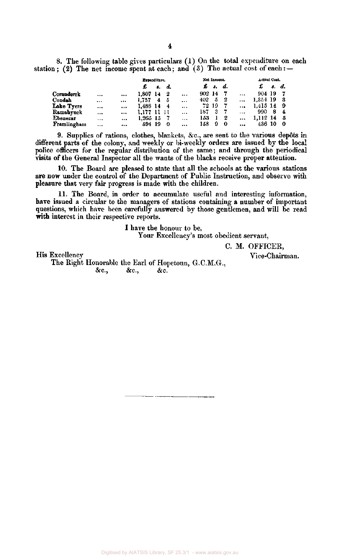8. The following table gives particulars (1) On the total expenditure on each station; (2) The net income spent at each; and (3) The actual cost of each: $-$ 

|             |          |          | Expenditure. |    |       |           |      | Net Income. |    |           | Actual Cost. |    |          |
|-------------|----------|----------|--------------|----|-------|-----------|------|-------------|----|-----------|--------------|----|----------|
|             |          |          | £            | 8. | d.    |           | £    | \$.         | d. |           | £            | 8. | d.       |
| Coranderrk  |          | $\cdots$ | 1.807 14     |    | -2    |           | 902. | -14         |    | $\cdots$  | 904 19       |    | 7        |
| Condah      |          | $\cdots$ | 1.757        | 4  | - 5   | $\ddotsc$ | 402  | 5           | -2 | $\ddotsc$ | 1,354 19     |    | -3       |
| Lake Tyers  | $\cdots$ | $\cdots$ | 1.488 14     |    | - 4   |           |      | 72 19       | -7 | $\ddotsc$ | 1.415 14     |    | -9       |
| Ramahyuck   | $\cdots$ | $\cdots$ | 1.177        | п  | - 1 L | $\cdots$  | 187  | 3           |    | $\cdots$  | 990          | 8  | 4        |
| Ebenezar    |          | $\cdots$ | 1,265 15     |    |       | $\cdots$  | 153  |             | 2  | $\cdots$  | 1.112 14     |    | - 5      |
| Framlingham |          | $\cdots$ | 594 19       |    | 0     |           | 158  | 9           | -0 |           | 436 10       |    | $\bf{0}$ |

9. Supplies of rations, clothes, blankets, &c, are sent to the various dep6ts in different parts of the colony, and weekly or bi-weekly orders are issued by the local police officers for the regular distribution of the same; and through the periodical visits of the General Inspector all the wants of the blacks receive proper attention.

10. The Board are pleased to state that all the schools at the various stations **are now** under the control of the Department of Public Instruction, and observe with pleasure that very fair progress is made with the children.

11. The Board, in order to accumulate useful and interesting information, have issued a circular to the managers of stations containing a number of important questions, which have been carefully answered by those gentlemen, and will be read **with** interest in their respective reports.

I have the honour to be,

Your Excellency's most obedient servant,

C. M. OFFICER,

His Excellency Vice-Chairman.

The Right Honorable the Earl of Hopetoun, G.C.M.G., &c, &c, &c.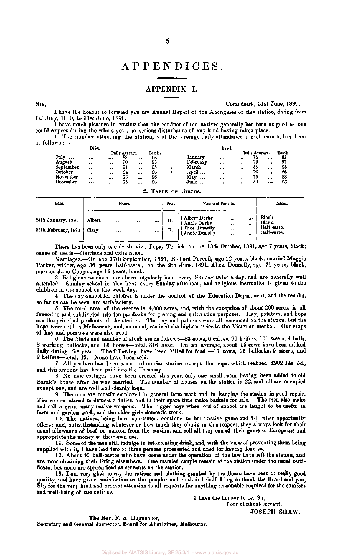# APPENDICES .

### APPENDIX I.

SIR, Coranderrk, 31st June, 1891.

I have the honour to forward you my Annual Report of the Aborigines of this station, dating from 1st July, 1890, to 31st June, 1891.

I have much pleasure in stating that the conduct of the natives generally has been as good as one could expect during the whole year, no serious disturbance of any kind having taken place.

1. The number attending the station, and the average daily attendance in each month, has been as follows:—

| 1890.    |           |      |          |                            |                      | 1891.            |                  |                  |          |                                |
|----------|-----------|------|----------|----------------------------|----------------------|------------------|------------------|------------------|----------|--------------------------------|
|          |           |      |          | Totals.                    |                      |                  |                  |                  |          | Totals.                        |
|          |           | 88   | $\cdots$ | 93                         | Januarv              | $1 + 1$          |                  | 78               |          | 93                             |
| $\cdots$ |           | 90   |          |                            | February             | $\cdots$         |                  |                  |          | 97                             |
|          |           | 91   |          |                            | March                |                  |                  | 88               | $\cdots$ | 93                             |
|          |           | S4   |          |                            |                      |                  |                  | - 6              |          | 86                             |
|          |           | --   |          |                            |                      |                  |                  |                  |          | 88                             |
| $\cdots$ | 1.11      | 78   |          | 96                         | June<br>             |                  |                  | 84               | 14.1     | 95                             |
|          | 1.1.7<br> | <br> | 40       | Daily Average.<br><br><br> | 95<br>95<br>96<br>96 | April<br>May<br> | $\cdots$<br><br> | $\cdots$<br><br> | 75       | Daily Average.<br><br>$\cdots$ |

|                                                   |        |                      |                      |              |          | 2. TABLE OF BIRTHS.                                                 |                              |                              |                                                |
|---------------------------------------------------|--------|----------------------|----------------------|--------------|----------|---------------------------------------------------------------------|------------------------------|------------------------------|------------------------------------------------|
| Date.                                             |        | Name.                |                      |              | Sex.     | Names of Parents.                                                   |                              |                              | Colour.                                        |
| 24th January, 1891<br>25th February, 1891   Cissy | Albert | $\cdots$<br>$\cdots$ | $\cdots$<br>$\cdots$ | $\cdots$<br> | M,<br>Γ. | Albert Darby)<br>  Annie Darby<br>Thos. Dunolly<br>{ Jessie Dunolly | <br>$\cdots$<br><br>$\cdots$ | <br>$\cdots$<br>$\cdots$<br> | Black,<br>Black.<br>Half-caste.<br>Half-caste. |

There has been only one death, viz., Topsy Terrick, on the 13th October, 1891, ago 7 years, black; cause of death—diarrhoea and exhaustion.

Marriages.—On the 17th September, 1891, Richard Purcell, age 22 years, black, married Maggie Parker, widow, age 36 years, half-caste; on the 9th June, 1891, Alick Donnelly, ago 21 years, black, married Jane Cooper, age 18 years, black.

3. Religious services have been regularly held every Sunday twice a day, and are generally well attended. Sunday school is also kept every Sunday afternoon, and religious instruction is given to the children in the school on the week day.

4. The day-school for children is under the control of the Education Department, and the results, so far as can be seen, are satisfactory.

5. The total area of the reserve is 4,800 acres, and, with the exception of about 200 acres, is all fenced in and subdivided into ten paddocks for grazing and cultivation purposes. Hay, potatoes, and hops are the principal products of the station. The hay and potatoes were all consumed on the station, but the hops were sold in Melbourne, and, as usual, realized the highest price in the Victorian market. Our crops of hay and potatoes were also good.

6. The kinds and number of stock are as follow:—83 cows, 6 calves, 99 heifers, 101 steers, 4 bulls, 8 working bullocks, and 15 horses—total, 316 head. On an average, about 15 cows have been milked daily during the year. The following have been killed for food:—19 cows, 12 bullocks, 9 steers, and  $2$  heifers—total,  $42.$  None have been sold.

7. All produce has been consumed on the station except the hops, which realized £902 14s. 5d., and this amount has been paid into the Treasury.

8. No new cottages have been erected this year, only one small room having been added to old Barak's house after he was married. The number of houses on the station is 22, and all are occupied except one, and are well and cleanly kept.

9. The men are mostly employed in general farm work and in keeping the station in good repair. The women attend to domestic duties, and in their spare time make baskets for sale. The men also make and sell a great many native weapons. The bigger boys when out of school are taught to be useful in farm and garden work, and the older girls domestic work.

10. The natives, being born sportsmen, continue to hunt native game and fish when opportunity offers; and, notwithstanding whatever or how much they obtain in this respect, they always look for their usual allowance of beef or mutton from the station, and sell all they can of their game to Europeans and appropriate the money to their own use.

11. Some of the men still indulge in intoxicating drink, and, with the view of preventing them being supplied with it, I have had two or three persons prosecuted and fined for having done so.

12. About 40 half-castes who have come under the operation of the law have left the station, and are now obtaining their living elsewhere. One married couple remain at the station under the usual certificate, but none are apprenticed as servants on the station.

13. I am very glad to say the rations and clothing granted by the Board have been of really good quality, and have given satisfaction to the people; and on their behalf I beg to thank the Board and you, Sir, for the very kind and prompt attention to all requests for anything reasonable required for the comfort and well-being of the natives.

I have the honour to be, Sir, Your obedient servant, JOSEPH SHAW.

The Rev. F. A. Hagenauer, Secretary and General Inspector, Board for Aborigines, Melbourne.

Digitised by AIATSIS Library, SF 25.3/1 - www.aiatsis.gov.au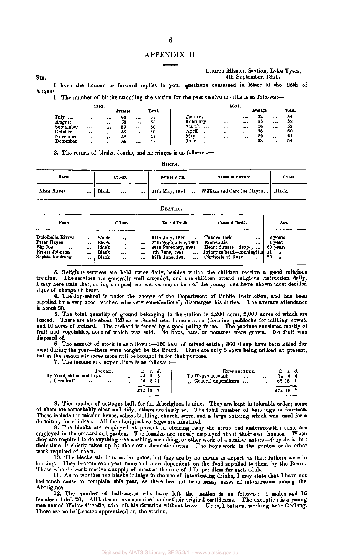#### APPENDIX II.

| SIR.    |  |  |  |  |  |                                                                                           | 4th September, 1891. |  |  |
|---------|--|--|--|--|--|-------------------------------------------------------------------------------------------|----------------------|--|--|
|         |  |  |  |  |  | I have the honour to forward replies to your questions contained in letter of the 25th of |                      |  |  |
| August. |  |  |  |  |  |                                                                                           |                      |  |  |

Church Mission Station, Lake Tyers,

1. The number of blacks attending the station for the past twelve months is as follows:-

|           | 1890. |          |          |       |        |                   |          | 1891.    |         |          |        |
|-----------|-------|----------|----------|-------|--------|-------------------|----------|----------|---------|----------|--------|
|           |       |          | Average. |       | Total. |                   |          |          | Average |          | Total. |
| July<br>  |       |          | 60       |       | 63     | January           | $\cdots$ |          | 52      |          | 54     |
| August    |       |          | 58       |       | 60     | February          | $\cdots$ | $***$    | 55      | $\cdots$ | 58     |
| September |       | $\cdots$ | 59       |       | 60     | March<br>         | $\cdots$ | $\cdots$ | 56      | $***$    | 59     |
| October   |       |          | 58       | $***$ | 60     | April<br>$\cdots$ | $\cdots$ | $\cdots$ | 58      | $\cdots$ | 60     |
| November  |       |          | 58       |       | 59     | May<br>$\cdots$   | $\cdots$ |          | 59      |          | 61     |
| December  |       | $\cdots$ | 55       |       | 58     | June<br>.         | $\cdots$ |          | 58      |          | 58     |

2. The return of births, deaths, and marriages is as follows :-

|--|

| Name.                   | Colour.                       | Date of Birth. | Names of Parents.                   | Colour. |
|-------------------------|-------------------------------|----------------|-------------------------------------|---------|
| Alice Hayes<br>$\cdots$ | Black<br>$\cdots$<br>$\cdots$ | 29th May, 1891 | William and Caroline Hayes   Black. |         |

#### DEATHS.

| Name.                                                                                                   |                      |                                           | Colour.                    |                                          | Date of Death.                                                                                                               | Cause of Death.                                                                                                          | Age.                                                                           |
|---------------------------------------------------------------------------------------------------------|----------------------|-------------------------------------------|----------------------------|------------------------------------------|------------------------------------------------------------------------------------------------------------------------------|--------------------------------------------------------------------------------------------------------------------------|--------------------------------------------------------------------------------|
| Dulcibella Rivers<br>Peter Hayes<br>$\cdots$<br>Big Joe<br>$\cdots$<br>Ernest Johnson<br>Sophia Neukong | <br><br>$\cdots$<br> | Black<br>Black<br>Black<br>Black<br>Black | $$<br>$\cdots$<br><br><br> | $\cdots$<br><br>$\cdots$<br><br>$\cdots$ | 11th July, 1890<br>$***$<br>27th September, 1890<br>19th February, 1891<br>4th June, 1891<br>$-11$<br>18th June, 1891<br>--- | Tuberculosis<br><br><b>Bronchitis</b><br><br>Heart disease-dropsy<br>Injury to head—meningitis<br>Cirrhosis of liver<br> | 3 years<br>l vear<br>60 years<br>11<br>$^{\bullet}$<br>20<br>$^{\prime\prime}$ |

3. Religious services are held twice daily, besides which the children receive a good religious training. The services are generally well attended, and the children attend religious instruction daily. I may here state that, during the past few weeks, one or two of the young men have shown most decided signs of change of heart.

4. The day-school is under the charge of the Department of Public Instruction, and has been supplied by a very good teacher, who very conscientiously discharges his duties. The average attendance is about 20.

5. The total quantity of ground belonging to the station is 4,200 acres, 2,000 acres of which are fenced. There are also about 120 acres fenced near home-station (forming paddocks for milking cows), and 10 acres of orchard. The orchard is fenced by a good paling fence. The produce consisted mostly of fruit and vegetables, none of which was sold. No hops, oats, or potatoes were grown. No fruit was disposed of.

6. The number of stock is as follows:—150 head of mixed cattle ; 360 sheep have been killed for meat during the year—these were bought by the Board. There are only 3 cows being milked at present, but as the season advances more will be brought in for that purpose.

7. The income and expenditure is as follows :—

|                          | Імсомк. |          |        | $\pounds$ sd. | EXPENDITURE.            |              |        | $f$ s.d. |  |
|--------------------------|---------|----------|--------|---------------|-------------------------|--------------|--------|----------|--|
| By Wool, skins, and bags |         |          |        |               | To Wages account        | <br>$\cdots$ |        | 1446     |  |
| Overdraft<br>            |         | <br>28   | - 8 11 |               | <br>General expenditure |              | 58 15  |          |  |
|                          |         |          |        |               |                         |              |        |          |  |
|                          |         | $£72$ 19 |        |               |                         |              | £72 19 |          |  |
|                          |         |          |        |               |                         |              |        |          |  |

8. The number of cottages built for the Aborigines is nine. They are kept in tolerable order; some of them are remarkably clean and tidy, others are fairly so. The total number of buildings is fourteen. These include the mission-house, school-building, church, store, and a large building which was used for a dormitory for children. All the aboriginal cottages are inhabited.

9. The blacks are employed at present in clearing away the scrub and undergrowth ; some are employed in the orchard and garden. The females are mostly employed about their own houses. When they are required to do anything—as washing, scrubbing, or other work of a similar nature—they do it, but their time is chiefly taken up by their own domestic duties. The boys work in the garden or do other work required of them.

10. The blacks still hunt native game, but they are by no means as expert as their fathers were in hunting. They become each year more and more dependent on the food supplied to them by the Board. Those who do work receive a supply of meat at the rate of 1 lb. per diem for each adult.

11. As to whether the blacks indulge in the use of intoxicating drinks, I may state that I have not had much cause to complain this year, as there has not been many eases of intoxication among the Aborigines.

12. The number of half-castes who have left the station is as follows :—4 males and 16 females ; total, 20. All but one have remained under their original certificates. The exception is a young man named Walter Creedie, who left his situation without leave. He is, I believe, working near Geelong. There are no half-castes apprenticed on the station.

Digitised by AIATSIS Library, SF 25.3/1 - www.aiatsis.gov.au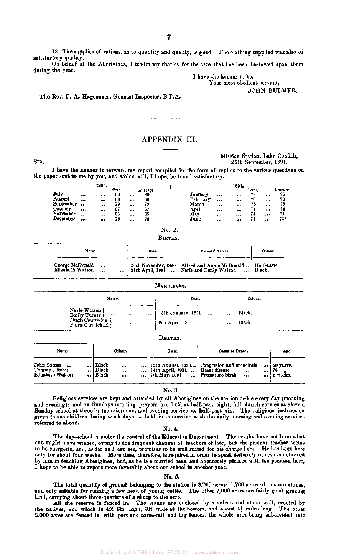13. The supplies of rations, as to quantity and quality, is good. The clothing supplied was also of satisfactory quality.

On behalf of the Aborigines, I tender my thanks for the care that has been bestowed upon them during the year.

I have the honour to be, Your most obedient servant,

JOHN BULMER.

The Rev. F. A. Hagenauer, General Inspector, B.P.A.

# APPENDIX III.

#### Mission Station, Lake Condah, SIR, 25th September, 1891.

I have the honour to forward my report compiled in the form of replies to the various questions on the paper sent to me by you, and which will, I hope, be found satisfactory.

|           | 1890. |              |         |          |                   | 1891. |       |          |          |
|-----------|-------|--------------|---------|----------|-------------------|-------|-------|----------|----------|
|           |       | <b>Total</b> |         | Average. |                   |       | Total |          | Average. |
| July      | <br>  | 90           |         | 80       | January<br>       |       | 76    |          | 76       |
| August    | <br>  | 80           |         | 80       | February<br>      |       | 78    |          | 78       |
| September | <br>  | 79           |         | 79       | March<br>         |       | 75    | $\cdots$ | 75       |
| October   | <br>  | 67           |         | 67       | April<br>$\cdots$ |       |       |          | 74       |
| November  | <br>  | 65           |         | 65       | May<br>           |       |       |          | 74       |
| December  | <br>  | 75           | $1 + 4$ | 75       | J une<br>         |       | 74    |          | 73.      |

**No. 2.** 



| Name.                               | Date.                                      | Parenta' Names.                                                           | Colour.               |
|-------------------------------------|--------------------------------------------|---------------------------------------------------------------------------|-----------------------|
| George McDonald<br>Elizabeth Watson | <br><br><br>  21st April, 1891<br>$\cdots$ | 26th November, 1890   Alfred and Annie McDonald<br>Narie and Emily Watson | Half-caste.<br>Black. |

|                                                                              |                      | MARRIAGES.                                                            |                 |
|------------------------------------------------------------------------------|----------------------|-----------------------------------------------------------------------|-----------------|
| Name.                                                                        |                      | Date.                                                                 | Colour.         |
| Narie Watson  <br><br>Emily Turner f<br>Hugh Courtwine<br>Flora Carmichael ( | <br>$\cdots$<br><br> | 13th January, 1891<br>$\cdots$<br><br>8th April, 1891<br><br>$\cdots$ | Black.<br>Black |

|                                                         |                |                         |          | реатиз.                                                                  |                                                                                            |                  |                                |  |
|---------------------------------------------------------|----------------|-------------------------|----------|--------------------------------------------------------------------------|--------------------------------------------------------------------------------------------|------------------|--------------------------------|--|
| Name.                                                   |                |                         | Colour.  | Date.                                                                    | Cause of Death.                                                                            |                  | Age.                           |  |
| John Sutton<br>$-$<br>Tommy Ritchie<br>Elizabeth Watson | <br><b>BAA</b> | Black<br>Black<br>Black | <br><br> | $\ldots$   14th April, 1891 $\ldots$   Heart disease<br>$$ 7th May, 1891 | 12th August, 1890 Congestion and bronchitis<br>$\ddotsc$<br>  Premature birth<br>$\ddotsc$ | <br>$\cdots$<br> | 60 years.<br>-78<br>$2$ weeks. |  |

Deaths.

No. 3.

Religious services are kept and attended by all Aborigines on the station twice every day (morning and evening); and on Sundays morning prayers are held at half-past eight, full church service at eleven, Sunday school at three in the afternoon, and evening service at half-past six. The religious instruction given to the children during week days is held in connexion with the daily morning and evening services referred to above.

No. 4.

The day-school is under the control of the Education Department. The results have not been what one might have wished, owing to the frequent changes of teachers of late; but the present teacher seems to be energetic, and, as far as I can see, promises to be well suited for his charge here. He has been here only for about four weeks. More time, therefore, is required in order to speak definitely of results achieved by him in teaching Aborigines; but, as he is a married man and apparently pleased with his position here, I hope to be able to report more favorably about our school in another year.

#### No. 5.

The total quantity of ground belonging to the station is 3,700 acres; 1,700 acres of this are stones, y suitable for running a few head of young cattle. The other 2,000 acres are fairly good grazing and only suitable for running a few head of young cattle. land, carrying about three-quarters of a sheep to the acre.

All the reserve is fenced in. The stones are enclosed by a substantial stone wall, erected by the natives, and which is 4ft. 6in. high, 3ft. wide at the bottom, and about  $4\frac{1}{2}$  miles long. The other 2,000 acres are fenced in with post and three-rail and log fences, the whole area being subdivided into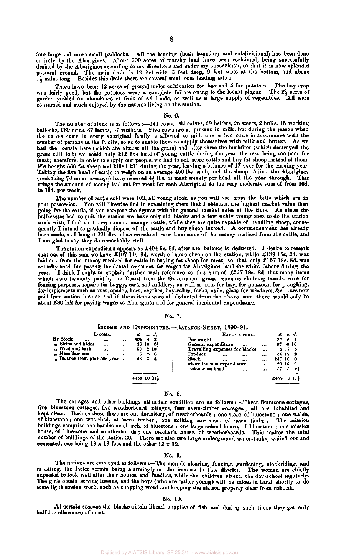four large and seven small paddocks. All the fencing (both boundary and subdivisional) has been done entirely by the Aborigines. About 700 acres of marshy land have been reclaimed, being successfully drained by the Aborigines according to my directions and under my supervision, so that it is now splendid pastoral ground. The main drain is 12 feet wide, 5 feet deep, 9 feet wide at the bottom, and about 14 miles long. Besides this drain there are several small ones leading into it.

There have been 12 acres of ground under cultivation for hay and 5 for potatoes. The hay crop was fairly good, but the potatoes were a complete failure owing to the locust plague. The 2<sup>2</sup> acres of garden yielded an abundance of fruit of all kinds, as well as a large supply of vegetables. All were consumed and much enjoyed by the natives living on the station.

#### No. 6.

The number of stock is as follows  $:=141 \text{ cos } x$ , 100 calves, 59 heifers, 28 steers, 2 bulls, 18 working bullocks, 269 ewes, 37 lambs, 47 wethers. Five cows are at present in milk, but during the season when the calves come in every aboriginal family is allowed to milk one or two cows in accordance with the number of persons in the family, so as to enable them to supply themselves with milk and butter. As we had the locusts here (which ate almost all the grass) and after them the bushfires (which destroyed the grass still left) we could only kill five head of young cattle during the year, the rest being too poor for meat; therefore, in order to supply our people, we had to sell store cattle and buy fat sheep instead of them. We bought 338 fat sheep and killed 291 during the year, leaving a balance of 47 over for the ensuing year. Taking the five head of cattle to weigh on an average 400 lbs. each, and the sheep 45 lbs., the Aborigines (reckoning 70 on an average) have received  $4\frac{1}{2}$  lbs. of meat weekly per head all the year through. This brings the amount of money laid out for meat for each Aboriginal to the very moderate sum of from 10d. to Ild. per week.

The number of cattle sold were 103, all young stock, as you will see from the bills which are in your possession. You will likewise find in examining them that I obtained the highest market value then going for the cattle, if you compare the figures with the general market rates at the time. As since the half-castes had to quit the station we have only old blacks and a few sickly young ones to do the station work with, I find that they cannot manage cattle, while they are quite capable of handling sheep, consequently I intend to gradually dispose of the cattle and buy sheep instead. A commencement has already been made, as I bought 221 first-class crossbred ewes from some of the money realized from the cattle, and I am glad to say they do remarkably well.

The station expenditure appears as £404 8s. 8d. after the balance is deducted. I desire to remark that out of this sum we have £107 14s. 9d. worth of store sheep on the station, while £138 15s. 3d. was laid out from the money received for cattle in buying fat sheep for meat, so that only £157 18s. 8d. was actually used for paying incidental expenses, for wages for Aborigines, and for white labour during the year. I think I ought to explain further with reference to this sum of £257 18s. 8d. that many items which were formerly paid by the Board from the Government grant—such as shelving-boards, wire for fencing purposes, repairs for buggy, cart, and saddlery, as well as oats for hay, for potatoes, for ploughing, for implements such as axes, spades, hoes, scythes, hay-rakes, forks, nails, glass for windows, &c.—are now paid from station income, and if these items were all deducted from the above sum there would only be about £80 left for paying wages to Aborigines and for general incidental expenditure.

#### No. 7.

#### INCOME AND EXPENDITURE.—BALANCE-SHEET, 1890-91.

|          |                                | £459 10 111 |    |      |                                                  |          | £459 10 114 |        |           |
|----------|--------------------------------|-------------|----|------|--------------------------------------------------|----------|-------------|--------|-----------|
|          |                                |             |    |      | Miscellaneous expenditure<br>Balance on hand<br> | <br>$$   | 20 16<br>57 | 5      | -91       |
|          | $n$ Balance from previous year | 63          | з  | - 4  | Stock<br><br>$***$                               |          | 247 10      |        | - 0<br>-9 |
|          | " Miscellaneous<br>            | <br>6       |    | 26   | Produce<br>$\cdots$<br>                          |          | 36 12       |        | - 2       |
|          | "Wool and bark<br>             | <br>58      |    | 2 10 | Travelling expenses for blacks                   |          |             |        | 2186      |
|          | " Skins and hides<br>1.14      | <br>26      | 18 | -04  | General expenditure<br>$\cdots$                  | $\cdots$ | 57          | - 0 10 |           |
| By Stock | <br>                           | <br>305     |    | 43   | For wages<br>.<br>                               | $\cdots$ | 37          |        | 611       |
|          | INCOME.                        | £           | я. | đ.   | EXPENDITURE,                                     |          | £           |        | s. d.     |
|          |                                |             |    |      |                                                  |          |             |        |           |

#### No. 8.

The cottages and other buildings all in fair condition are as follows :—Three limestone cottages, five bluestone cottages, five weatherboard cottages, four sawn-timber cottages ; all are inhabited and kept clean. Besides these there are one dormitory, of weatherboards ; one store, of bluestone ; one stable, of bluestone ; one woolshed, of sawn timber ; one milking cow-shed, of sawn timber. The mission buildings comprise one handsome church, of bluestone ; one large school-house, of bluestone ; one mission house, of bluestone and weatherboards ; one teacher's house, of weatherboards. This makes the total number of buildings of the station 26. There are also two large underground water-tanks, walled out and cemented, one being  $18 \times 18$  feet and the other  $12 \times 12$ .

#### No. 9.

The natives are employed as follows :-The men do clearing, fencing, gardening, stockriding, and rabbiting, the latter vermin being alarmingly on the increase in this district. The women are chiefly expected to look well after their houses and families, while the children attend the day-school regularly. The girls obtain sewing lessons, and the boys (who are rather young) will be taken in hand shortly to do some light station work, such as chopping wood and keeping the station properly clear from rubbish.

#### No. 10.

At certain seasons the blacks obtain liberal supplies of fish, and during such times they get only half the allowance of meat.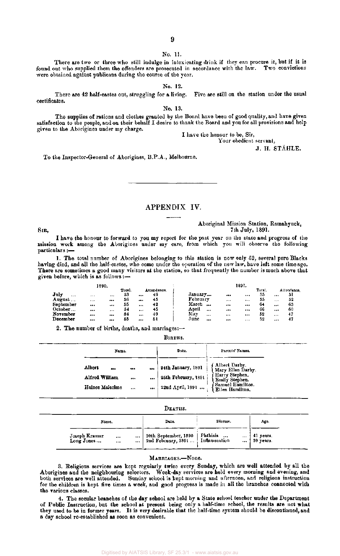#### No. 11.

#### There are two or three who still indulge in intoxicating drink if they can procure it, but if it is found out who supplied them the offenders are prosecuted in accordance with the law. Two convictions were obtained against publicans during the course of the year.

No. 12.

There are 42 half-castes out, struggling for a living. Five are still on the station under the usual certificates.

No. 13.

The supplies of rations and clothes granted by the Board have been of good quality, and have given satisfaction to the people, and on their behalf I desire to thank the Board and you for all provisions and help given to the Aborigines under my charge.

I have the honour to be, Sir, Your obedient servant,

J. H. STÄHLE.

To the Inspector-General of Aborigines, B.P.A., Melbourne.

APPENDIX IV.

Aboriginal Mission Station, Ramahyuck, SIR, 7th July, 1891.

I have the honour to forward to you my report for the past year on the state and progress of the mission work among the Aborigines under my care, from which you will observe the following particulars :—

1. The total number of Aborigines belonging to this station is now only 52, several pure Blacks having died, and all the half-castes, who come under the operation of the new law, have left some time ago. There are sometimes a good many visitors at the station, so that frequently the number is much above that given before, which is as follows:—

| 1890.               |          |  |        |  |             |  | 1891.           |          |          |        |          |             |  |  |  |
|---------------------|----------|--|--------|--|-------------|--|-----------------|----------|----------|--------|----------|-------------|--|--|--|
|                     |          |  | Total. |  | Attendance. |  |                 |          |          | Total. |          | Attendance. |  |  |  |
| $\mathbf{July}$<br> | $***$    |  | 53     |  | 49          |  | January         |          |          | 55     | $\cdots$ | 51          |  |  |  |
| August              | 1.11     |  | 56     |  | 45          |  | February        | $\cdots$ | $\cdots$ | 55     |          | 52          |  |  |  |
| September           | $\cdots$ |  | 55     |  | 42          |  | March<br>       |          |          | 64     |          | 63          |  |  |  |
| October             |          |  | 54     |  | 45          |  | Anril<br>$***$  |          |          | 66     |          | 60          |  |  |  |
| November            | $\cdots$ |  | 34     |  | 49          |  | May<br>$\cdots$ | $***$    |          | 52     | $\cdots$ | 47          |  |  |  |
| December            |          |  | 55     |  | 51          |  | June<br>        |          |          | 52     |          | 47          |  |  |  |

2. The number of births, deaths, and marriages:--

| BIRTHS. |
|---------|
|---------|

| Name.           |          |          | Date.               | Parents' Names.                         |
|-----------------|----------|----------|---------------------|-----------------------------------------|
| Albert<br>      | $\cdots$ |          | 24th January, 1891  | Albert Darby.<br>Mary Ellen Darby.      |
| Alfred William  |          | $\cdots$ | 25th February, 1891 | <b>Harry Stephen.</b><br>Emily Stephen. |
| Haines Malcolme | $\cdots$ |          | 22nd April, 1891    | Samuel Hamilton.<br>Ellen Hamilton,     |

#### DEATHS.

| Name.                                                     |                                  | Date.                                                            | Disease.       | Age,                                                                                   |
|-----------------------------------------------------------|----------------------------------|------------------------------------------------------------------|----------------|----------------------------------------------------------------------------------------|
| Joseph Kramer<br>$\bullet$ + +<br>Long Jones<br>$\ddotsc$ | $\cdots$<br>$\ddot{\phantom{a}}$ | 20th September, 1890 Phthisis<br>2nd February, 1891 Inflammation | $\mathbb{Z}^*$ | $\begin{array}{ c c } \hline 41 \text{ years} \\ 59 \text{ years.} \hline \end{array}$ |

#### MARRIAGES.—None.

3. Religious services are kept regularly twice every Sunday, which are well attended by all the Aborigines and the neighbouring selectors. Week-day services are held every morning and evening, and both services are well attended. Sunday school is kept morning and afternoon, and religious instruction for the children is kept five times a week, and good progress is made in all the branches connected with the various classes.

4. The secular branches of the day school are held by a State school teacher under the Department of Public Instruction, but the school at present being only a half-time school, the results are not what they used to be in former years. It is very desirable that the half-time system should be discontinued, and a day school re-established as soon as convenient.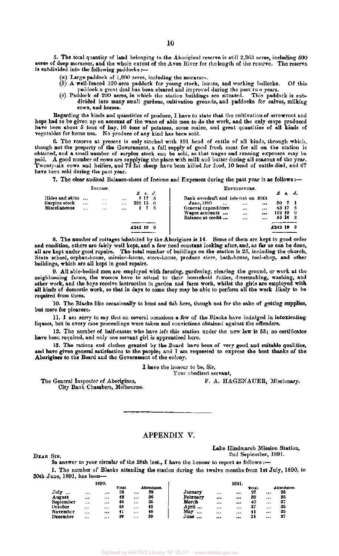5. The total quantity of land belonging to the Aboriginal reserve is still 2,363 acres, including 500 acres of deep morasses, and the whole extent of the Avon River for the length of the reserve. The reserve is subdivided into the following paddocks :—

- (a) Large paddock of 1,800 acres, including the morasses.
- *(b)* A well-fenced 320-acre paddock for young stock, horses, and working bullocks. Of this paddock a great deal has been cleared and improved during the past two years.
- (c) Paddock of 200 acres, in which the station buildings are situated. This paddock is subdivided into many small gardens, cultivation grounds, and paddocks for calves, milking cows, and horses.

Regarding the kinds and quantities of produce, I have to state that the cultivation of arrowroot and hops had to be given up on account of the want of able men to do the work, and the only crops produced have been about 5 tons of hay, 10 tons of potatoes, some maize, and great quantities of all kinds of vegetables for home use. No produce of any kind has been sold.

6. The reserve at present is only stocked with 191 head of cattle of all kinds, through which, though not the property of the Government, a full supply of good fresh meat for all on the station is obtained, and a small number of surplus stock can be sold, so that wages and running expenses may be paid. A good number of cows are supplying the place with milk and butter during all seasons of the year. Twenty-six cows and heifers, and 73 fat sheep have been killed for food, 10 head of cattle died, and 67 have been sold during the past year.

7. The clear audited Balance-sheet of Income and Expenses during the past year is as follows :—

|                                                   |             | Іхсоме.         |                 |             |                               | EXPENDITURE.                                                                                                                                                    |                |                                                 |    |  |
|---------------------------------------------------|-------------|-----------------|-----------------|-------------|-------------------------------|-----------------------------------------------------------------------------------------------------------------------------------------------------------------|----------------|-------------------------------------------------|----|--|
| Hides and skins<br>Surplus stock<br>Miscellaneous | <br>$1.1 +$ | $+ + +$<br><br> | <br><br>$1.1 +$ | 232150      | $\pmb{z}$ s.d.<br>8173<br>176 | Bank overdraft and interest on 30th<br>June, 1890<br><br><br>General expenditure<br>$\cdots$<br>$\cdots$<br>Wages accounts<br><br><br>Balance at credit<br><br> | 30<br>$\cdots$ | $\mathcal{L}$<br>43 17 6<br>112 19 0<br>55 16 2 | d. |  |
|                                                   |             |                 |                 | $£242$ 19 9 |                               |                                                                                                                                                                 | £242 19        |                                                 | o  |  |

8. The number of cottages inhabited by the Aborigines is 14. Some of them are kept in good order and condition, others are fairly well kept, and a few need constant looking after, and, as far as can be done, all are kept under good repairs. The total number of buildings on the station is 25, including the church, State school, orphan-house, mission-house, store-house, produce store, bath-house, tool-shop, and other buildings, which are all kept in good repairs.

9. All able-bodied men are employed with farming, gardening, clearing the ground, or work at the neighbouring farms, the women have to attend to their household duties, dressmaking, washing, and other work, and the boys receive instruction in garden and farm work, whilst the girls are employed with all kinds of domestic work, so that in days to come they may be able to perform all the work likely to be required from them.

10. The Blacks like occasionally to hunt and fish here, though not for the sake of getting supplies, but more for pleasure.

11. I am sorry to say that on several occasions a few of the Blacks have indulged in intoxicating liquors, but in every case proceedings were taken and convictions obtained against the offenders.

12. The number of half-castes who have left this station under the new law is 33; no certificates have been required, and only one servant girl is apprenticed here.

13. The rations and clothes granted by the Board have been of very good and suitable qualities, and have given general satisfaction to the people; and I am requested to express the best thanks of the Aborigines to the Board and the Government of the colony.

I have the honour to be, Sir,

Your obedient servant.

The General Inspector of Aborigines, City Bank Chambers, Melbourne. F. A. HAGENAUER, Missionary.

#### APPENDIX V.

DEAR SIR,

Lake Hindmarsh Mission Station,

 $2n$  denotes the contract of  $2n$ 2nd September, 1891.

In answer to your circular of the 28th inst., I have the honour to report as follows:-1. The number of Blacks attending the station during the twelve months from 1st July, 1890, to 30th June, 1891, has been—

|                 |          | 1890. |        |          |             |          |          | 1891.    |        |          |             |
|-----------------|----------|-------|--------|----------|-------------|----------|----------|----------|--------|----------|-------------|
|                 |          |       | Total. |          | Attendance. |          |          |          | Total. |          | attendance. |
| July<br>        |          | $-11$ | 38     |          | 32          | January  |          |          | 27     |          | 25          |
| August          |          | $-$   | 42     |          | 36          | February |          |          | -39    | $$       | 35          |
| September       |          |       | 46     | $\cdots$ | 36          | March    |          |          | 40     |          | 37          |
| October         |          | 517   | 48     |          | 42          | April    |          |          | 37     |          | 35          |
| <b>November</b> | $\cdots$ |       | 41     |          | 40          | May<br>  | $\cdots$ | $\cdots$ | 41     | $\cdots$ | 35          |
| December        |          |       | 39     | $***$    | 39          | June<br> |          |          | 31     |          | 27          |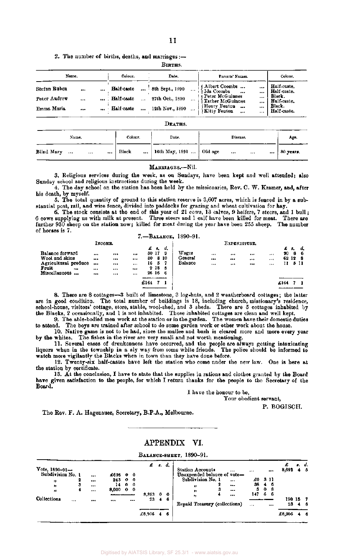2. The number of births, deaths, and marriages :—

BlRTHS.

| Name.                                                              | Colour.                                                                                            | Date.                                                 | Parents' Names.                                                                                                                                                    | Colour.                                                                      |
|--------------------------------------------------------------------|----------------------------------------------------------------------------------------------------|-------------------------------------------------------|--------------------------------------------------------------------------------------------------------------------------------------------------------------------|------------------------------------------------------------------------------|
| Stefan Ruben<br><br>$\cdots$<br>Peter Andrew<br><br>Emma Maria<br> | Half-caste<br>$\ddot{\phantom{a}}$<br>Half-caste<br>Half-caste<br>$\ddot{\phantom{a}}$<br>exercit. | 8th Sept., 1890<br>27th Oct., 1890<br>12th Nov., 1890 | (Albert Coombs<br><br>i Ida Coombs<br>$\cdots$<br><br>ı Peter McGuinnes<br><br><b>Esther McGuinnes</b><br><br>Henry Fenton<br><br><br>Kitty Fenton<br>$\cdots$<br> | Half-caste.<br>Half-caste.<br>Black.<br>Half-caste.<br>Black.<br>Half-caste. |

#### DEATHS.

|            | Name.    |          |          | Colour. | Date.                         | Disease.  |      | Age.      |
|------------|----------|----------|----------|---------|-------------------------------|-----------|------|-----------|
| Blind Mary | $\cdots$ | $\cdots$ | $\cdots$ | Black   | <br>16th May, 1891    Old age | $\ddotsc$ | <br> | 80 years. |

#### MARRIAGES.—Nil.

3. Religious services during the week, as on Sundays, have been kept and well attended; also Sunday school and religious instructions during the week.

4. The day school on the station has been held by the missionaries, Rev. C. W. Kramer, and, after his death, by myself.

5. The total quantity of ground to this station reserve is 3,607 acres, which is fenced in by a substantial post, rail, and wire fence, divided into paddocks for grazing and wheat cultivation for hay.

6. The stock consists at the end of this year of 21 cows, 13 calves, 9 heifers, 7 steers, and 1 bull; 6 cows supplying us with milk at present. Three steers and 1 calf have been killed for meat. There are further 930 sheep on the station now; killed for meat during the year have been 255 sheep. The number of horses is 7.

|                      |         |              | 7. - BALANCE, |       |     | 1890-91. |         |              |    |        |       |     |
|----------------------|---------|--------------|---------------|-------|-----|----------|---------|--------------|----|--------|-------|-----|
|                      | Іксоми. |              |               | £s.   | d.  |          |         | EXPENDITURE. |    |        | £ s.  | ď.  |
| Balance forward      |         | <br>         |               | 30 17 | 9   | Wages    | $***$   |              |    | <br>90 | 8     | - 6 |
| Wool and akins       |         | <br>         | 80            |       | 810 | General  |         |              |    |        | 62 12 | - 8 |
| Agricultural produce |         | <br>$\cdots$ | 16            | 5     |     | Balance  | $1 - 4$ | $\cdots$     | $$ | <br>11 |       | 511 |
| Fruit                | <br>    | <br>         |               | 918   | 5   |          |         |              |    |        |       |     |
| Miscellaneous        |         | <br>         |               | 26 16 | -6  |          |         |              |    |        |       |     |
|                      |         |              |               |       |     |          |         |              |    |        |       |     |
|                      |         |              | £164          |       |     |          |         |              |    | £164   |       |     |
|                      |         |              |               |       |     |          |         |              |    |        |       |     |

8. There are 8 cottages—3 built of limestone, 3 log-huts, and 2 weatherboard cottages; the latter are in good condition. The total number of buildings is 18, including church, missionary's residence, school-house, visitors' cottage, store, stable, wool-shed, and 3 sheds. There are 5 cottages inhabited by the Blacks, 2 occasionally, and 1 is not inhabited. Those inhabited cottages are clean and well kept.

9. The able-bodied men work at the station or in the garden. The women have their domestic duties to attend. The boys are trained after school to do some garden work or other work about the house.

10. Native game is not to be had, since the mallee and bush is cleared more and more every year by the whites. The fishes in the river are very small and not worth mentioning.

11. Several cases of drunkenness have occurred, and the people are always getting intoxicating liquors when in the township in a sly way from some white friends. The police should be informed to watch more vigilantly the Blacks when in town than they have done before.

12. Twenty-six half-castes have left the station who come under the new law. One is here at the station by certificate.

13. At the conclusion, I have to state that the supplies in rations and clothes granted by the Board have given satisfaction to the people, for which I return thanks for the people to the Secretary of the Board.

I have the honour to be,

Your obedient servant,

P. BOGISCH.

The Rev. F. A. Hagenauer, Secretary, B.P.A., Melbourne.

### APPENDIX VI.

BALANCE-SHEET, 1890-91.

|                     |       |          |           |                |          |            | $\pounds$ $\qquad$ | d.          |                                     |     |                | £        | s. d. |
|---------------------|-------|----------|-----------|----------------|----------|------------|--------------------|-------------|-------------------------------------|-----|----------------|----------|-------|
| $Vote, 1890 - 91 -$ |       |          |           |                |          |            |                    |             | <b>Station Accounts</b><br>$\cdots$ |     |                | 8,692    | 45    |
| Subdivision No. 1   |       |          | £626 0 0  |                |          |            |                    |             | Unexpended balance of vote-         |     |                |          |       |
| $^{\prime\prime}$   |       |          | $243$ 0 0 |                |          |            |                    |             | Subdivision No. 1<br>               | £O  | -311           |          |       |
| m                   | з     |          | 14.       | $0\quad 0$     |          |            |                    |             | <br>n                               | 38  | 46             |          |       |
| 28                  |       | $\cdots$ | 8,000     | 0 <sub>0</sub> |          |            |                    |             | 3<br>$\cdots$<br>,,                 | 5   | 0 <sub>8</sub> |          |       |
|                     |       |          |           |                |          | 8,883      | $\mathbf{0}$       | $\mathbf o$ | 4<br><br>93                         | 147 | 6.<br>- 6      |          |       |
| Collections         | $***$ |          |           |                | $\cdots$ |            | $23 +$             | 6           |                                     |     |                | 190 15 7 |       |
|                     |       |          |           |                |          |            |                    |             | Repaid Treasury (collections)       |     |                | 23       | 46    |
|                     |       |          |           |                |          |            |                    |             |                                     |     |                |          |       |
|                     |       |          |           |                |          | $£8,906$ 4 |                    | -6          |                                     |     |                | £8,906   | 46    |
|                     |       |          |           |                |          |            |                    |             |                                     |     |                |          |       |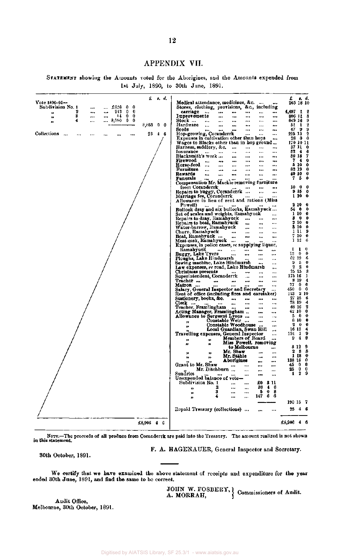## APPENDIX VII.

STATEMENT showing the Amounts voted for the Aborigines, and the Amounts expended from 1st July, 1890, to 30th June, 1891.

|                                                      | £          | <b>s.</b> d. |                                                            |                      |                           |                       |                      |                      |                      | £          |                      | s. d.                   |
|------------------------------------------------------|------------|--------------|------------------------------------------------------------|----------------------|---------------------------|-----------------------|----------------------|----------------------|----------------------|------------|----------------------|-------------------------|
| $Vote$ 1890-91-                                      |            |              | Medical attendance, medicines, &c.                         |                      |                           |                       |                      | $-0.14$              |                      |            |                      | 265 18 10               |
| Subdivision No. 1<br>$\pounds 626$<br>0<br>0<br>     |            |              | Stores, clothing, provisions, &c., including               |                      |                           |                       |                      |                      |                      |            |                      |                         |
| 2<br>243<br>0<br>0<br>٠.,<br>22<br>3<br>0<br>14<br>0 |            |              | carriage                                                   | $\cdots$             | $\cdots$                  |                       | $\cdots$             |                      | ***                  | 4,497      | $\mathbf{I}$         | -2                      |
| $\cdots$<br><br>$\bullet$<br>0<br>4<br>8,000<br>0    |            |              | Improvements<br>Stock …                                    |                      | $\cdots$                  |                       | ***                  | $\bullet$            |                      |            | 806 11<br>649 16     | - 8<br>9                |
| 31<br>$\ddotsc$                                      | 8,883<br>0 | 0            | Hardware                                                   | $\cdots$             | $\ddotsc$                 |                       |                      |                      | <br>                 | 51         | $\mathbf{1}$         | $\overline{\mathbf{2}}$ |
|                                                      |            |              | Seeds                                                      | $\ddot{\phantom{0}}$ |                           | <br>                  | <br>                 |                      |                      | 47         | 9                    | 9                       |
| <b>Collections</b><br><br>                           | 23         | $4\,6$       | Hop-growing, Coranderrk                                    | $\cdots$             |                           |                       |                      |                      |                      |            | 225 13               | 2                       |
|                                                      |            |              | Expenses in cultivation other than hops                    |                      |                           |                       |                      |                      |                      | 28         | - 0                  | $\mathbf 0$             |
|                                                      |            |              | Wages to Blacks other than in hop ground                   |                      |                           |                       |                      |                      |                      |            | 170 10 11            |                         |
|                                                      |            |              | Harness, saddlery, &c.                                     |                      |                           | $\cdots$              |                      |                      |                      |            | 37 Il 0              |                         |
|                                                      |            |              | Insurance                                                  | $\ddotsc$            |                           |                       |                      |                      |                      | 82         | -4                   | - 6                     |
|                                                      |            |              | Blacksmith's work                                          |                      |                           | دده                   | $\ddotsc$            |                      |                      |            | 80 IS                | 7                       |
|                                                      |            |              | Firewood                                                   | ٠.,                  |                           |                       |                      |                      |                      |            | 74                   | 0                       |
|                                                      |            |              | Horse-feed                                                 |                      |                           |                       |                      |                      |                      |            | 510                  | - 0                     |
|                                                      |            |              | Furniture                                                  | $\ddot{\phantom{a}}$ |                           | $\cdots$              |                      |                      |                      |            | 82 19                | - 0                     |
|                                                      |            |              | Rewards                                                    | $\ddotsc$            |                           |                       | ٠.٠                  |                      |                      |            | 40 10                | - 0                     |
|                                                      |            |              | <b>Funerals</b>                                            |                      |                           |                       |                      |                      |                      | 7          | 5                    | $\bf{0}$                |
|                                                      |            |              | Compensation Mr. Mackie removing furniture                 |                      |                           |                       |                      |                      |                      |            |                      |                         |
|                                                      |            |              | from Coranderrk                                            |                      |                           |                       |                      |                      |                      | 10         | $^{\circ}$           | - 0                     |
|                                                      |            |              | Repairs to buggy, Coranderrk                               |                      |                           |                       |                      | $\ddot{\phantom{0}}$ | $\cdots$             |            | 915                  | - 0                     |
|                                                      |            |              | Marriage fee, Coranderrk                                   |                      |                           |                       |                      |                      |                      |            | 1 10                 | 0                       |
|                                                      |            |              | Allowance in lieu of rent and rations (Miss                |                      |                           |                       |                      |                      |                      |            |                      |                         |
|                                                      |            |              | Powell)                                                    |                      |                           |                       |                      |                      |                      | 2          | 10                   | 0                       |
|                                                      |            |              | Bullock dray and six bullocks, Ramahyuck                   |                      |                           |                       |                      |                      |                      | 54         | - 0                  | 0<br>0                  |
|                                                      |            |              | Set of scales and weights, Ramabyuck                       |                      |                           |                       |                      |                      | $\ddot{\phantom{0}}$ | 3          | 1 10<br>$\mathbf{0}$ | 0                       |
|                                                      |            |              | Repairs to dray, Ramahyuck                                 |                      |                           |                       | $\cdots$             |                      |                      |            | 2 10                 | 0                       |
|                                                      |            |              | Repairs to boat, Ramanyuck                                 |                      |                           |                       | $\ddot{\phantom{a}}$ |                      |                      |            | \$10                 | $\cdot$                 |
|                                                      |            |              | Water-barrow, Ramahyuck<br>Churn, Ramahyuck                |                      |                           | $\ddotsc$             |                      |                      | $\cdots$             |            | 1119                 |                         |
|                                                      |            |              | Boat, Ramahyuck                                            |                      |                           |                       | <br>                 | $\cdots$             | $\ddotsc$            |            | 7 10                 | 0                       |
|                                                      |            |              | Meat-cask, Ramahyuck …                                     |                      |                           |                       |                      | ٠                    | <br>                 |            | 112                  | 6                       |
|                                                      |            |              | Expenses, in police cases, re supplying liquor,            |                      |                           |                       |                      |                      |                      |            |                      |                         |
|                                                      |            |              | Ramabyuck                                                  |                      |                           | $\cdots$              |                      |                      | ۰.,                  | 1          | п                    | Ð                       |
|                                                      |            |              | Buggy, Lake Tyers                                          |                      |                           |                       |                      |                      |                      | 13         | 0                    | 0                       |
|                                                      |            |              | Ploughs, Lake Hindmarsh                                    |                      |                           |                       |                      |                      |                      |            | 62 19                | 6                       |
|                                                      |            |              | Sewing machine, Lake Hindmarsh                             |                      |                           |                       |                      |                      |                      | 9.         | -5                   | 0                       |
|                                                      |            |              | Law expenses, re road, Lake Hindmarsh                      |                      |                           |                       |                      |                      | ٠.,                  | 2          | 2                    | $\bf{0}$                |
|                                                      |            |              | Christmas presents                                         |                      |                           |                       |                      |                      |                      |            | 25 15                | 3                       |
|                                                      |            |              | Superintendent, Coranderrk                                 |                      |                           |                       | $\ddotsc$            |                      |                      |            | 175 16               | -1                      |
|                                                      |            |              | Teacher                                                    | $***$                |                           |                       |                      |                      |                      |            | 8 19                 | 4                       |
|                                                      |            |              | Matron                                                     |                      |                           |                       |                      |                      |                      | 77         | 0                    | 0                       |
|                                                      |            |              | Salary, General Inspector and Secretary                    |                      |                           |                       |                      |                      |                      | 450        | 0                    | $\mathbf 0$             |
|                                                      |            |              | Rent of office (including fires and caretaker)             |                      |                           |                       |                      |                      |                      | 113        |                      | -2 10                   |
|                                                      |            |              | Stationery, books, &c.                                     |                      |                           | $\ddotsc$             |                      |                      | ***                  |            | 27 15                | 6                       |
|                                                      |            |              | $Clerk \t $                                                |                      |                           |                       | $\cdots$             |                      |                      |            | 78 19<br>48 16       | 4<br>2                  |
|                                                      |            |              | Teacher, Framlingham                                       |                      |                           |                       |                      |                      |                      |            | 62 10                | 0                       |
|                                                      |            |              | Acting Manager, Framlingham<br>Allowance to Sergeant Lyons |                      |                           |                       |                      |                      |                      |            | 50                   | $\bf{0}$                |
|                                                      |            |              |                                                            |                      | Constable Weir            |                       |                      |                      | $\ddot{\phantom{0}}$ |            | 810                  | 0                       |
|                                                      |            |              | ,,                                                         |                      | Constable Woodhouse       |                       |                      |                      | <br>                 |            | 20                   | 0                       |
|                                                      |            |              | 33                                                         |                      | Local Guardian, Swan Hill |                       |                      |                      | $\ddotsc$            |            | 16 13                | 4                       |
|                                                      |            |              | Travelling expenses, General Inspector                     |                      |                           |                       |                      |                      |                      | 191        | -1                   | 9                       |
|                                                      |            |              | 33                                                         | 17                   |                           | Members of Board      |                      |                      |                      | 9          | 4                    | 9                       |
|                                                      |            |              | 11                                                         | Ħ                    |                           | Miss Powell, removing |                      |                      |                      |            |                      |                         |
|                                                      |            |              |                                                            |                      |                           | to Melbourne          |                      |                      | ەەە                  |            | 812                  | 9                       |
|                                                      |            |              | 53                                                         | 12                   |                           | Mr. Shaw              |                      |                      | $\bullet$            | 2          | - 8                  | 8                       |
|                                                      |            |              | ,,                                                         | ,,                   |                           | Mr. Stähle            |                      |                      |                      |            | 1 18                 | 0                       |
|                                                      |            |              |                                                            |                      |                           | Aborigines            |                      |                      | ***                  | 138 16     |                      | 0                       |
|                                                      |            |              | Grant to Mr. Shaw                                          |                      |                           |                       |                      | ---                  |                      | 45         | $\mathbf 0$          | 0                       |
|                                                      |            |              |                                                            | Mr. Ditchburn        |                           |                       | $\cdots$             | $\cdots$             |                      | 25         | 0                    | 0                       |
|                                                      |            |              | Sundries                                                   |                      |                           |                       |                      |                      |                      | 1          | 2                    | 9                       |
|                                                      |            |              | Unexpended balance of vote-                                |                      |                           |                       |                      |                      |                      |            |                      |                         |
|                                                      |            |              | Subdivision No. 1                                          |                      |                           |                       |                      | 420 -                | <b>3</b> 11          |            |                      |                         |
|                                                      |            |              | $\bullet$                                                  |                      | 2                         |                       |                      | 38                   | 4 <sub>6</sub>       |            |                      |                         |
|                                                      |            |              | n                                                          |                      | 3                         |                       |                      | 5                    | 0 <sub>8</sub>       |            |                      |                         |
|                                                      |            |              | 33                                                         |                      | 4                         |                       |                      |                      | 147 6 6              |            |                      |                         |
|                                                      |            |              |                                                            |                      |                           |                       |                      |                      |                      | 190 15 7   |                      |                         |
|                                                      |            |              | Repaid Treasury (collections)                              |                      |                           |                       |                      |                      |                      |            | 23 4 6               |                         |
|                                                      |            |              |                                                            |                      |                           |                       |                      |                      |                      |            |                      |                         |
|                                                      |            |              |                                                            |                      |                           |                       |                      |                      |                      |            |                      |                         |
|                                                      | £8,906 4 G |              |                                                            |                      |                           |                       |                      |                      |                      | £8,906 4 6 |                      |                         |
|                                                      |            |              |                                                            |                      |                           |                       |                      |                      |                      |            |                      |                         |

NOTE.—The proceeds of all produce from Coranderrk are paid into the Treasury. The amount realized is not shown in this statement.

30th October, 1891.

F. A. HAGENAUER, General Inspector and Secretary.

We certify that we have examined the above statement of receipts and expenditure for the year ended 30th June, 1891, and find the same to be correct.

> JOHN W. FOSBERY, 1  $A. MORRAH$ ,  $\int$  Commissioners of Audit.

Audit Office, Melbourne, 30th October, 1891.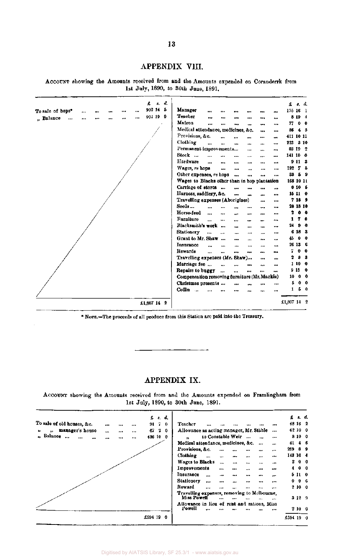# APPENDIX VIII.

ACCOUNT showing the Amounts received from and the Amounts expended on Coranderrk from 1st July, 1890, to 30th June, 1891.

| d.<br>£<br>\$.                                                    |                                                                          | £<br>s. d.                          |
|-------------------------------------------------------------------|--------------------------------------------------------------------------|-------------------------------------|
| 902 14<br>-5<br>To sale of hops*<br><br><br>$\cdots$<br><br>      | Manager<br><br><br><br><br><br>                                          | 175 16 1                            |
| 904 19<br>-9<br>" Balance<br>$\ddot{\phantom{a}}$<br><br><br><br> | <b>Teacher</b><br><br><br><br><br>                                       | 8 19 4                              |
|                                                                   | Matron<br>$\cdots$<br><br><br><br>$\ddotsc$<br>$\ddot{\phantom{0}}$      | 0 <sub>0</sub><br>77                |
|                                                                   | Medical attendance, medicines, &c.<br>$\cdots$<br>$\cdots$               | 86<br>4 <sub>5</sub>                |
|                                                                   | Provisions, &c.<br><br><br>$\ddot{\phantom{0}}$<br>                      | 411 10 11                           |
|                                                                   | Clothing<br><br><br>$\ddotsc$<br><br><br>$\ddotsc$                       | 310<br>223                          |
|                                                                   | Permanent improvements<br><br>$\cdots$<br>$\cdots$                       | 83 19 2                             |
|                                                                   | Stock<br><br><br><br>$\cdots$<br>                                        | 141 10 0                            |
|                                                                   | Hardware<br>$\ddot{\phantom{a}}$<br><br><br><br>ودو<br>                  | 9113                                |
|                                                                   | Wages, re hops<br><br><br><br><br>÷                                      | 192<br>7<br>- 5                     |
|                                                                   | Other expenses, re hops<br>$\ddotsc$<br><br>$\cdots$<br>                 | 33<br>59                            |
|                                                                   | Wages to Blacks other than in hop plantation                             | 168 10 11                           |
|                                                                   | Carriage of stores<br><br><br><br>$\cdots$                               | 0106                                |
|                                                                   | Harness, saddlery, &c.<br><br><br>$\cdots$<br>$\cdots$                   | 15110                               |
|                                                                   | Travelling expenses (Aborigines)<br><br>                                 | 7 18 9                              |
|                                                                   | Seeds<br>$\cdots$<br><br><br>$\ddotsc$<br><br>                           | 28 13 10                            |
|                                                                   | Horse-feed<br>$\cdots$<br><br><br><br><br>                               | 2<br>0 <sub>0</sub>                 |
|                                                                   | Furniture<br>$\ddot{\phantom{a}}$<br>$\cdots$<br>$\cdots$<br><br>---<br> | $\overline{\mathbf{7}}$<br>- 0<br>1 |
|                                                                   | Blacksmith's work<br>$\cdots$<br><br>$\ddotsc$<br>                       | 24<br>Ð<br>$\mathbf{0}$             |
|                                                                   | <b>Stationery</b><br>$\ddot{\phantom{a}}$<br><br><br><br><br>$\cdots$    | 6<br>18 <sub>3</sub>                |
|                                                                   | Grant to Mr. Shaw<br>$\ddot{\phantom{0}}$<br><br><br><br>                | 45<br>0 <sub>0</sub>                |
|                                                                   | <b>Insurance</b><br><br><br>$\ddot{\phantom{0}}$<br><br>                 | 26136                               |
|                                                                   | Rewards<br><br><br><br><br><br>                                          | $\mathbf{0}$<br>0<br>7              |
|                                                                   | Travelling expenses (Mr. Shaw)<br><br>484                                | 8<br>- 3<br>2                       |
|                                                                   | Marriage fee<br><br>$\cdots$<br><br>$\ddotsc$                            | 1100                                |
|                                                                   | Repairs to buggy<br><br>$\cdots$<br><br><br>$\ddot{\phantom{a}}$         | 9150                                |
|                                                                   | Compensation removing furniture (Mr. Mackie)                             | 10<br>0 <sub>0</sub>                |
|                                                                   | Christmas presents<br><br>$\cdots$                                       | 5<br>0 <sub>0</sub>                 |
|                                                                   | Coffin<br>$\ddotsc$<br><br>                                              | 50<br>1                             |
| £1,807 14 2                                                       |                                                                          | £1,807 14 2                         |

NOTE.—The proceeds of all produce from this Station are paid into the Treasury.

# APPENDIX IX.

ACCOUNT showing the Amounts received from and the Amounts expended on Framlingham from 1st July, 1890, to 30th June, 1891.

|                            |              |          |           | $f: d$ ,       |                                                       |                      |                      |                |          |           |           |           | $f$ , $f$ , $f$ , |                |
|----------------------------|--------------|----------|-----------|----------------|-------------------------------------------------------|----------------------|----------------------|----------------|----------|-----------|-----------|-----------|-------------------|----------------|
| To sale of old houses, &c. | <br>         |          |           | 9170           | Teacher                                               |                      |                      |                |          |           |           |           | 48 16 2           |                |
| manager's house<br>33.     | <br>$\cdots$ |          | 87        | 2<br>$\bullet$ | Allowance as acting manager, Mr. Stähle               |                      |                      |                |          |           | $\cdots$  |           | 62 10 0           |                |
| " Balance<br>$\ddotsc$     | <br>$\cdots$ | $\cdots$ |           | 436 10 0       | m.                                                    | to Constable Weir    |                      |                |          | $\ddotsc$ | $\cdots$  |           | 810 0             |                |
|                            |              |          |           |                | Medical attendance, medicines, &c.                    |                      |                      |                |          | $\cdots$  | $\cdots$  | 41        |                   | 46             |
|                            |              |          |           |                | Provisions, &c.                                       |                      | $\ddot{\phantom{a}}$ |                |          |           | $\cdots$  | 269       | 89                |                |
|                            |              |          |           |                | Clothing                                              | $\ddot{\phantom{a}}$ | $\ddotsc$            | $+ + +$        | $\cdots$ | $\cdots$  |           |           | 143 16 4          |                |
|                            |              |          |           |                | <b>Wages to Blacks</b>                                |                      | $\ddotsc$            |                |          | $\ddotsc$ |           | 2         |                   | 0 <sub>0</sub> |
|                            |              |          |           |                | Improvements                                          |                      | $\cdots$             | $\cdots$       | $\cdots$ |           |           | 4         |                   | 0 <sub>0</sub> |
|                            |              |          |           |                | Insurance                                             | $\ddotsc$            | $\cdots$             | $\cdots$       | $\cdots$ |           | $\ddotsc$ |           | 5 II O            |                |
|                            |              |          |           |                | Stationery                                            | $\cdots$             | $\cdots$             | $\cdots$       |          |           | $\ddotsc$ | 0         |                   | 96             |
|                            |              |          |           |                | Reward                                                |                      |                      | $\overline{a}$ |          |           | $\ddotsc$ |           | 2100              |                |
|                            |              |          |           |                | Travelling expenses, removing to Melbourne,           |                      |                      |                |          |           |           |           |                   |                |
|                            |              |          |           |                | Miss Powell                                           |                      | $\ddotsc$            |                |          |           | $\cdots$  |           | 3129              |                |
|                            |              |          |           |                | Allowance in lieu of rent and rations, Miss<br>Powell |                      |                      |                |          |           |           |           | 2100              |                |
|                            |              |          | £594 19 0 |                |                                                       |                      |                      |                |          |           |           | £594 19 0 |                   |                |
|                            |              |          |           |                |                                                       |                      |                      |                |          |           |           |           |                   |                |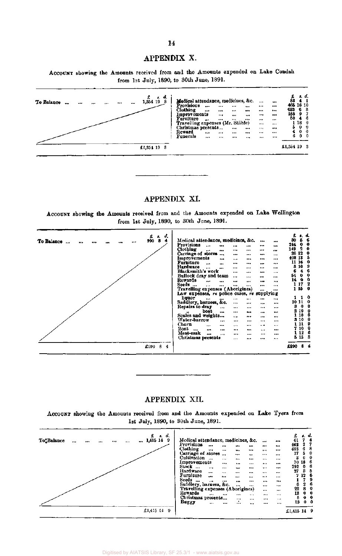# APPENDIX X.

ACCOUNT showing the Amounts received from and the Amounts expended on Lake Condah from 1st July, 1890, to 30th June, 1891.

| To Balance<br>$\cdots$<br><br><br> | d.<br>£<br>б.<br>1,854 19<br>-8 | Medical attendance, medicines, &c.<br><b>Provisions</b><br><br>Clothing<br><br>Improvements<br>Furniture<br>$\cdots$<br>Travelling expenses (Mr. Stäble)<br>Christmas presents | $\cdots$<br><br>$$<br><br>$\ddotsc$<br>$\cdots$<br>$\cdots$<br>$\cdots$<br>$\cdots$ | $\cdots$<br>$144 +$<br>$\ddotsc$<br><br>$\cdots$ | <br>$$<br><br><br>$\cdots$<br><br>$\cdots$ | <br>$***$<br><br>$$<br>$\cdots$<br>$\cdots$<br> | $\frac{2}{33}$<br>465 16 10<br>683<br>165<br>50 | . d.<br>68<br>$9 - 7$<br>46<br>1180<br>$0 \quad 0$ |
|------------------------------------|---------------------------------|--------------------------------------------------------------------------------------------------------------------------------------------------------------------------------|-------------------------------------------------------------------------------------|--------------------------------------------------|--------------------------------------------|-------------------------------------------------|-------------------------------------------------|----------------------------------------------------|
|                                    |                                 | Reward<br>$\cdots$<br><b>Funerals</b><br>                                                                                                                                      | $\cdots$<br>$***$<br><br>                                                           | <br>$\cdots$                                     | <br>$$                                     | 111<br>$\cdots$                                 | 6.                                              | 0 <sub>0</sub><br>0 <sub>0</sub>                   |
|                                    | £1,351 19 $8$                   |                                                                                                                                                                                |                                                                                     |                                                  |                                            |                                                 | £1,354 19 3                                     |                                                    |

# APPENDIX XI.

ACCOUNT showing the Amounts received from and the Amounts expended on Lake Wellington from 1st July, 1890, to 30th June, 1891.

| d.                                                                 |                                                  |               |          | £     | 2. d.       |             |
|--------------------------------------------------------------------|--------------------------------------------------|---------------|----------|-------|-------------|-------------|
| £<br>а.<br>8<br>4<br>990<br>To Balance<br>$\ddot{\phantom{a}}$<br> | Medical attendance, medicines, &c.               |               |          | 80    | 5           | 6           |
|                                                                    | Provisions<br>$\ddotsc$<br>$\cdots$<br>$\cdots$  | <br>          |          | 244   | 0           | 0           |
|                                                                    | Clothing<br><br>$\cdots$<br>                     | <br>$\cdots$  | $\cdots$ | 149   | 2           | 0           |
|                                                                    | Carriage of stores<br>$\cdots$<br>               | <br>          | $***$    | 26    | 12          | $\mathbf 0$ |
|                                                                    | Improvements<br><br>                             | <br>          |          | 408   | 13          | 5           |
|                                                                    | Furniture<br>$\cdots$<br>$\cdots$<br>$\ddotsc$   | <br>          |          | 11 16 |             | 0           |
|                                                                    | Hardware<br>$\ddot{\phantom{0}}$<br><br>$\cdots$ | <br>$\cdots$  |          | 3     | 10          | -9          |
|                                                                    | Blacksmith's work<br>                            | <br>          |          | 6     | 4           | 6           |
|                                                                    | Bullock dray and team<br>$\ddotsc$               | <br>          |          | 54    | 0           | 0           |
|                                                                    | Rewards<br><br>                                  | <br>          |          | 14    | 0           | 0           |
|                                                                    | Seeds<br>$\cdots$<br><br>$\cdots$                | <br>          |          | ı     | 17          | 2           |
|                                                                    | Travelling expenses (Aborigines)                 | $\cdots$      |          |       |             | 1150        |
|                                                                    | Law expenses, re police cases, re supplying      |               |          |       |             |             |
|                                                                    | liquor<br><br><br>                               | <br>          |          |       |             | $1\quad 0$  |
|                                                                    | Saddlery, harness, &c.<br>                       | <br>          |          | 10 11 |             | 0           |
|                                                                    | Repairs to dray<br>$\cdots$<br>                  | $\cdots$<br>  |          | 8     | 0           | 0           |
|                                                                    | boat<br>$\ddotsc$<br>                            | <br>          | $***$    | 2     | 10          | 0           |
|                                                                    | Scales and weights<br>$\cdots$                   | <br>          |          |       | 10          | 6           |
|                                                                    | Water-barrow<br><br>                             | <br>          |          |       | <b>3</b> 10 | o           |
|                                                                    | Churn<br><br>$\cdots$<br>$\cdots$                | $\cdots$<br>  |          |       | 11          | 9           |
|                                                                    | Boat<br>$\cdots$<br>$\cdots$<br><br>             | <br>$\cdots$  |          |       | 10          | 0           |
|                                                                    | Meat-cask<br>$\cdots$<br>$\overline{a}$<br>      | <br>$\ddotsc$ |          |       | 1 12        | 6           |
|                                                                    | Christmas presents<br>$\cdots$                   | <br>          |          |       |             | 5153        |
| £990B<br>-4                                                        |                                                  |               |          | £990. |             | 84          |
|                                                                    |                                                  |               |          |       |             |             |

# APPENDIX XII.

ACCOUNT showing the Amounts received from and the Amounts expended on Lake Tyers from 1st July, 1890, to 30th June, 1891.

|                         |          |  |          |  | $f_a$ s. d.   |     |                                    |                |             |          |          |          |             | £           | 7  | s. d.           |
|-------------------------|----------|--|----------|--|---------------|-----|------------------------------------|----------------|-------------|----------|----------|----------|-------------|-------------|----|-----------------|
| To <sub>s</sub> Balance | $\cdots$ |  | $\cdots$ |  | 1,415 14      | -9  | Medical attendance, medicines, &c. |                |             |          |          |          | $***$       | 41          |    | Ф               |
|                         |          |  |          |  |               |     | Provisions                         | $\cdots$       |             |          | $\cdots$ |          |             | 462         | 2  |                 |
|                         |          |  |          |  |               |     | Clothing                           |                | $100 - 100$ |          |          |          |             | 485         | 6  | 8               |
|                         |          |  |          |  |               |     | Carriage of stores                 |                | $\cdots$    |          |          |          | $\cdots$    | 17          | 5  | 0               |
|                         |          |  |          |  |               |     | Cultivation                        | $\overline{a}$ | $\cdots$    | 1.11     |          |          |             | 8           |    | 0               |
|                         |          |  |          |  |               |     | Improvements                       |                |             | $\cdots$ |          |          | $$          |             |    | 70186           |
|                         |          |  |          |  |               |     | Stock<br>$\ddotsc$                 | $\cdots$       |             |          |          | $\cdots$ | $$          | 292         | 0. | 6               |
|                         |          |  |          |  |               |     | Hardware                           |                | $***$       |          |          |          |             | 27          | 8  | 5               |
|                         |          |  |          |  |               |     | <b>Furniture</b>                   | $\cdots$       | $\cdots$    | 10.14    |          | 1.01     |             | 7           |    | 12 <sub>6</sub> |
|                         |          |  |          |  |               |     | Seeds                              | $\cdots$       |             | $***$    |          |          | $\cdots$    |             |    | 9               |
|                         |          |  |          |  |               |     | $\ddotsc$                          |                |             |          |          |          | <b>PA P</b> |             | 2  | -6              |
|                         |          |  |          |  |               |     | Saddlery, harness, &c.             |                |             |          |          | $***$    |             | 6           |    |                 |
|                         |          |  |          |  |               |     | Travelling expenses (Aborigines)   |                |             |          |          | $\cdots$ |             | 22          |    | 0<br>8.         |
|                         |          |  |          |  |               |     | Rewards                            | $\cdots$       |             |          | $\cdots$ | $\cdots$ | $\cdots$    | 18          | 0. | $\mathbf 0$     |
|                         |          |  |          |  |               |     | Christmas presents                 |                |             | $\cdots$ | $\cdots$ | $\cdots$ | $\cdots$    | 5           |    | 0 <sub>0</sub>  |
|                         |          |  |          |  |               |     | Buggy                              | $\cdots$       |             | ٠<br>    |          |          | $\cdots$    | 13          |    | 0 <sub>0</sub>  |
|                         |          |  |          |  | $£1,415$ $14$ | - 9 |                                    |                |             |          |          |          |             | £1,415 14 9 |    |                 |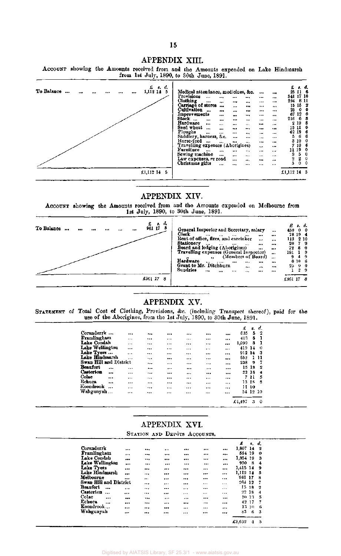### APPENDIX XIII.



#### APPENDIX XIV.

ACCOUNT showing the Amounts received from and the Amounts expended on Melbourne from 1st July, 1890, to 30th June, 1891.



# APPENDIX XV.

STATEMENT of Total Cost of Clothing, Provisions, &c. (including Transport thereof), paid for the use of the Aborigines, from the 1st July, 1890, to 30th June, 1891.

| 635<br>413 | 1,099  | 5<br>5 | 2                |
|------------|--------|--------|------------------|
|            |        |        |                  |
|            |        |        |                  |
|            |        | з      |                  |
|            |        | 419 14 | 0                |
| 912 14     |        |        | -3               |
| 652        |        |        | 11               |
| 238        |        | Ω      | -7               |
| 15         |        | 18     | $\boldsymbol{2}$ |
|            |        | 22 18  | 4                |
| 7.         |        | 11     | 5                |
| 13         |        | 13     | 8                |
|            |        | -10    |                  |
| 54         |        | 12.    | -10              |
|            | £4,497 |        | Ħ<br>з           |

# APPENDIX XVI. STATION AND DEPÔTS ACCOUNTS.

|                        |          |          |          |           |          |                                                             | £        | 8.     | d. |
|------------------------|----------|----------|----------|-----------|----------|-------------------------------------------------------------|----------|--------|----|
| Coranderrk             |          |          | $\cdots$ |           |          | $\begin{array}{cc} \bullet & \bullet & \bullet \end{array}$ | 1,807    | 14     | 2  |
| Framlingham            | $\cdots$ |          |          |           |          |                                                             | 594 19   |        | 0  |
| Lake Condab            |          |          |          |           |          | $\cdots$                                                    | 1,354 19 |        | 3  |
| Lake Wellington        |          |          |          |           | $\cdots$ |                                                             | 990      | -8     | 4  |
| Lake Tyers             |          |          |          |           |          |                                                             | 1,415 14 |        | 9  |
| Lake Hindmarsh         |          | $\cdots$ |          |           |          |                                                             | 1,113 14 |        | 5  |
| Melbourne              |          |          |          |           |          |                                                             | 961      | -17    | 8  |
| Swan Hill and District |          |          | $\cdots$ |           | $\cdots$ | $\cdots$                                                    | 264      | -12    | 7  |
| Beaufort<br>           |          |          |          | $\ddotsc$ |          | $\cdots$                                                    | 15.      | 18     | 2  |
| Casterton<br>$\cdots$  | $\cdots$ |          |          | $\cdots$  |          |                                                             |          | 22, 18 | 4  |
| Colac<br>              | $$       | $\cdots$ | $\cdots$ |           |          |                                                             |          | 10-13- | 5  |
| Echuca<br>$\cdots$     |          |          |          |           | $***$    |                                                             |          | 42 17  | 7  |
| Koondrook              |          |          |          |           | 111      |                                                             |          | 13 10  | 6  |
| Wahgunyah              | $***$    |          |          | $\cdots$  |          |                                                             | 83       | 6.     | -3 |
|                        |          |          |          |           |          |                                                             |          |        |    |
|                        |          |          |          |           |          |                                                             | £8,692   | 4      | 5  |
|                        |          |          |          |           |          |                                                             |          |        |    |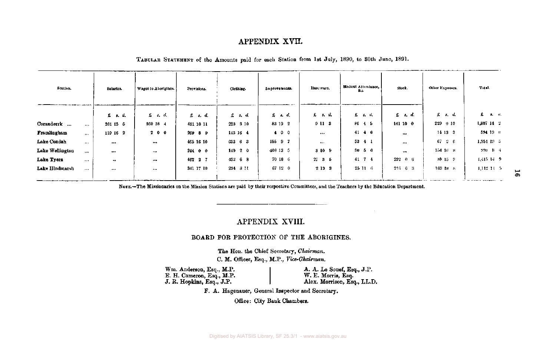# APPENDIX XVII.

| Station.        |          | Salaries.   | Wages to Aborigines. | Provisions.   | Clothing.       | Improvements. | Hardware.      | Medical Attendance,<br>Жu. | Stock.               | Other Expenses. | Total.                             |
|-----------------|----------|-------------|----------------------|---------------|-----------------|---------------|----------------|----------------------------|----------------------|-----------------|------------------------------------|
|                 |          | f: s.d.     | $f$ , $s$ , $d$ ,    | $x \cdot d$   | $E$ $s$ , $d$ . | f: s, d.      | £ s. d.        | £ s. d.                    | $\mathfrak{L}$ s, d, | $f$ $s$ , $d$   | $\hat{\mathbf{x}}$ and $\hat{a}$ . |
| Coranderrk      |          | 261 15 6    | 860 18 4             | 411 10 11     | 223 3 10        | 83 19 2       | 9113           | $86 + 5$                   | 141 10 0             | $229 + 0.10$    | $1,807$ 14 $2$                     |
| Framlingham     | $\cdots$ | 119 16 2    | 200                  | 269 8 9       | 143 16 4        | 400           |                | $41\;\; 4\;\; 6$           | $\cdots$             | $14$ 13 3       | 594 19 0                           |
| Lake Condah     | $\cdots$ | $\cdots$    |                      | 465 16 10     | 633 6 8         | $155$ 9 7     | $***$          | $33 \quad 4 \quad 1$       | $\cdots$             | $67 + 2 = 6$    | 1,354 19 3                         |
| Lake Wellington | $\cdots$ |             | $-1 +$               | $244$ 0 0     | 14920           | 408 13 5      | 3109           | $80\quad 5\quad 6$         |                      | $154\,16\,8$    | 990 8 4                            |
| Lake Tyers      |          | $\bullet$ . |                      | $462 \t2 \t7$ | 433 6 8         | 70 18 6       | $27 \t B \t 5$ | 41 7 4                     | $292 - 0 = 6$        | 88 15 9         | $1.415$ 14 $9$                     |
| Lake Hindmarsh  |          |             | $\cdots$             | 341 17 10     | 294 8 11        | 67120         | 2 19 3         | 25116                      | $216 - 6 = 3$        | $103$ 18 $8$    | 1,112,31,5                         |

TABULAR STATEMENT of the Amounts paid for each Station from 1st July, 1890, to 80th June, 1891.

NOTE.—The Missionaries on the Mission Stations are paid by their respective Committees, and the Teachers by the Education Department.

# APPENDIX XVIII.

#### BOARD FOR PROTECTION OF THE ABORIGINES.

The Hon. the Chief Secretary, *Chairman.*  C. M. Officer, Esq., M.P., *Vice-Chairman.* 

Wm. Anderson, Esq., M.P. E. H. Cameron, Esq., M.P. J. R. Hopkins, Esq., J.P.

A. A. Le Souef, Esq., J.P. W. E. Morris, Esq. Alex. Morrison, Esq., LL.D.

F. A. Hagenauer, General Inspector and Secretary.

Office: City Bank Chambers.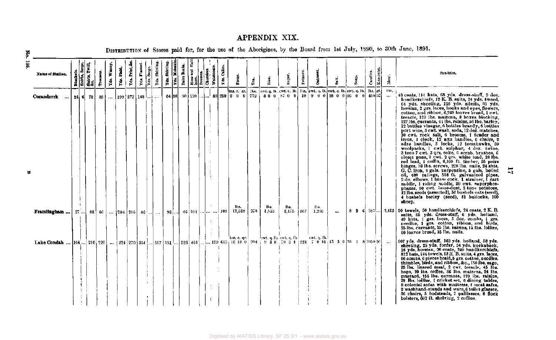# APPENDIX XIX.

| ă                                                                                                                                                            |      |                                                            |           |             |             |                |                                       |             |               |                             |                                                      |  |           |                   |                                                    |      |                           |                       |         |                                                                                                                             |           |       |          |           |                   | DISTRIBUTION of Stores paid for, for the use of the Aborigines, by the Board from 1st July, 1890, to 30th June, 1891.                                                                                                                                                                                                                                                                                                                                                                                                                                                                                                                                                                                                                                                                                                                                                                                                                                                                                                                                                                                                                                                                                                      |
|--------------------------------------------------------------------------------------------------------------------------------------------------------------|------|------------------------------------------------------------|-----------|-------------|-------------|----------------|---------------------------------------|-------------|---------------|-----------------------------|------------------------------------------------------|--|-----------|-------------------|----------------------------------------------------|------|---------------------------|-----------------------|---------|-----------------------------------------------------------------------------------------------------------------------------|-----------|-------|----------|-----------|-------------------|----------------------------------------------------------------------------------------------------------------------------------------------------------------------------------------------------------------------------------------------------------------------------------------------------------------------------------------------------------------------------------------------------------------------------------------------------------------------------------------------------------------------------------------------------------------------------------------------------------------------------------------------------------------------------------------------------------------------------------------------------------------------------------------------------------------------------------------------------------------------------------------------------------------------------------------------------------------------------------------------------------------------------------------------------------------------------------------------------------------------------------------------------------------------------------------------------------------------------|
| 361<br>Name of Station.                                                                                                                                      |      | Elankets.<br>  Shirta, Serge.<br>  Shirta, Twill,<br>  &c. | Trousers. | Yds. Wincey | Yds. Plaid. | Yds. Print, &c | Yds. Flamel                           | Yds. Serge. | Yds. Shirting | Yde, Skártir<br>Yds. Molesk | Pairs Boots<br>Hose and Hose<br>Dresses.<br>Dresses. |  | Waistcos  | <b>Tds. Calle</b> | Flour.                                             | Tes. |                           | Sugar.                | Tobacco | Outmea                                                                                                                      | $9a$ lt.  | Soap. | Candles. | Kerosene. | Meat.             | Sundries.                                                                                                                                                                                                                                                                                                                                                                                                                                                                                                                                                                                                                                                                                                                                                                                                                                                                                                                                                                                                                                                                                                                                                                                                                  |
| Coranderrk<br>$\ddotsc$                                                                                                                                      | 24 6 |                                                            | 78   85   | $\cdots$    |             |                | $199 \mid 272 \mid 148 \mid  \mid $   |             |               |                             |                                                      |  |           |                   | tns.c.qr.<br>64 88 90 120 $\dots$ 89 259 2 0 0 772 | lbs. |                           |                       |         | [ewt. q. 1b, ewt. q. 1b.] 1bs. [ewt. q. 1b. cwt. q. 1b. cwt. q. 1b.] 1bs. [gl.<br>80 0 87 0 0 10 9 0 0 28 0 0 16 0 0 450 32 |           |       |          |           | lbs,<br>$\ddotsc$ | 48 coats, 114 hats, 68 yds. dress-stuff, 9 doz.<br>handkerchiefs, 12 K. B. suits, 24 yds. tweed,<br>64 yds. sheeting, 126 yds. silesia, 93 yds.<br>hessian, 2 grs. laces, hooks and eyes, flowers,<br>cotton, and ribbon, 6,249 loaves bread, 1 cwt.<br>treacle, 120 lbs. maizena, 3 hoxes blacking,<br>127 lbs. currants, 61 lbs. raisins, 56 lbs. barley,<br>12 bottles vinegar, 6 bottles brandy, 6 bottles<br>port wine, 3 cwt. wash. soda, 12 doz. matches.<br>10 cwt. rock salt, 6 brooms, i fender and<br>irons, 1 clock, 12 axe handles, 6 chairs, 2<br>adze handles, 3 locks, 12 tomahawks, 30<br>woolpacks, 1 cwt. sulphur, 4 doz. twine,<br>3 tons 7 cwt. 3 qrs. coke, 6 scrub. brushes, 6<br>closet pans, 2 cwt. 2 qrs. white lead, 28 lbs.<br>red lead, 1 coffin, 6,100 ft. timber, 15 pairs<br>hinges, 16 lbs. screws, 228 lbs. nails, 24 shts.<br>G. C. iron, 4 gals. turpentine, 5 gals. boiled<br>oil, 400 palings, 558 ft. galvanized pipes.<br>2 do. elbows, 1 brass cock, 1 strainer, 1 cart<br>saddle, 1 riding saddle, 30 cwt. superphos-<br>phates, 30 cwt. hone-dust, 5 tons potatoes,<br>12 lbs. seeds (assorted), 56 bushels outs (seed),<br>4 bushels barley (seed), 12 builocks, 100<br>sheep. |
| Framlingham                                                                                                                                                  | 27   | -86 1                                                      |           |             |             |                | $\{6\}$ $\{204\}$ $216$ $\{86\}$ $\}$ |             |               | 96 []                       | 46   104                                             |  | $1.1$ 108 |                   | lbs.<br>$12,338$   378                             |      | Dø.<br>1,355              | lbs.<br>$3,175$   167 |         | This.<br>1,236                                                                                                              | $\ddotsc$ |       |          |           |                   | 8 2 6 342 3,413 50 towels, 50 handkerchiefs, 24 coats, 2 K. B.<br>suits, 65 yds. dress-stuff, 6 yds. holland,<br>49 lints, 1 grs. laces, 5 doz. combs, 1 grs.<br>needles, 1 grs. cotton, ribbon, and birds.<br>25 lbs. currants, 25 lbs. raisins, 15 lbs. lollies,<br>60 loaves bread, 15 lbs. nails.                                                                                                                                                                                                                                                                                                                                                                                                                                                                                                                                                                                                                                                                                                                                                                                                                                                                                                                      |
| Lake Condah  [104,] 210   220    [224   270   351   [517   151  ] 323   461  ] 139 613   16 10 0   204   9 38 70 34   221 7 0 16   13 3 0   16 1 8   1050 56 |      |                                                            |           |             |             |                |                                       |             |               |                             |                                                      |  |           |                   | tns, c, qr.                                        |      | $\frac{1}{2}$ cwt. q. lb. |                       |         | ewt, q, lb.                                                                                                                 |           |       |          |           |                   | 607 yds. dress-atuff. 169 yds. holland, 58 yds.<br>sheeting, 25 yds. forfar, 54 yds. huckaback,<br>16 yds. hessian, 90 coats, 240 handkerchiefs,<br>812 hats, 144 towels, 13 K. B. suits, 4 grs. laces,<br>96 combs, 6 pieces braid, 5 grs. cotton, needles.<br>thimbles, birds, and ribbon, &c., 150 lbs. sago,<br>25 lbs. linseed meal, 2 cwt. treacle, 45 lbs.<br>hops, 10 lbs. coffee, 86 lbs. maizena, 24 lbs.<br>mustard, 156 lbs. currants, 120 lbs. raisins,<br>28 lbs. lollies, 1 cricket set, 6 dining tables,<br>8 colonial sofas with mattress, 4 meat safes,<br>2 washhand-stands and ware, 6 toilet glasses,<br>36 chairs, 5 bedsteads, 7 palliasses, 6 flock<br>bolsters, 602 ft. shelving, 2 coffins.                                                                                                                                                                                                                                                                                                                                                                                                                                                                                                      |

 $\overline{11}$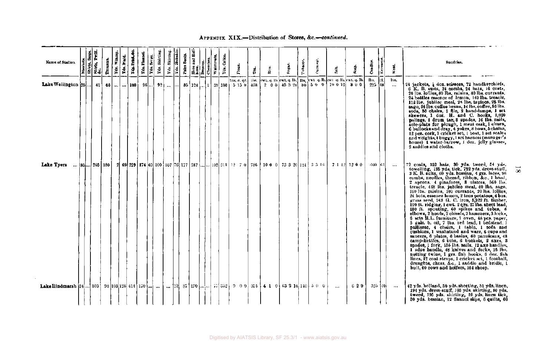### APPENDIX XIX.—Distribution of Stores, &c.—*continued.*

| Name of Station.                                           | $\begin{array}{c}\n\frac{\text{Mink}}{\text{Mink}} \\ \frac{\text{Mink}}{\text{Mik}} \\ \frac{\text{Mink}}{\text{Mik}}\n\end{array}$ |  | Trouser | Wincey<br>  g | Yds. Plaid | Į.<br>Td.         | <b>RASE</b><br>Yda. | 녧 | Yds. Shirting | Skirtin<br>Yá, | Ē<br>ļ. | Pairs Boot | $\overline{\mathbf{a}}$<br>$\begin{array}{c}\n\vdots \\ \text{Here } \\ \text{Dose} \\ \text{Dree} \\ \end{array}$ | $\frac{1}{\text{Chemise}}$ | Waistenata, | ē<br>Fie                                                                   | É              | È.                                                                                                     | Sugar. | Tobacco. | <b>Dational</b> | $\frac{1}{3}$ | Roap.         | Candles.   | Kerosen      | Meat.             | Sundries.                                                                                                                                                                                                                                                                                                                                                                                                                                                                                                                                                                                                                                                                                                                                                                                                                                                                                                                                                                                                                                                                                                                                                                                                              |
|------------------------------------------------------------|--------------------------------------------------------------------------------------------------------------------------------------|--|---------|---------------|------------|-------------------|---------------------|---|---------------|----------------|---------|------------|--------------------------------------------------------------------------------------------------------------------|----------------------------|-------------|----------------------------------------------------------------------------|----------------|--------------------------------------------------------------------------------------------------------|--------|----------|-----------------|---------------|---------------|------------|--------------|-------------------|------------------------------------------------------------------------------------------------------------------------------------------------------------------------------------------------------------------------------------------------------------------------------------------------------------------------------------------------------------------------------------------------------------------------------------------------------------------------------------------------------------------------------------------------------------------------------------------------------------------------------------------------------------------------------------------------------------------------------------------------------------------------------------------------------------------------------------------------------------------------------------------------------------------------------------------------------------------------------------------------------------------------------------------------------------------------------------------------------------------------------------------------------------------------------------------------------------------------|
| Lake Wellington 25                                         |                                                                                                                                      |  |         |               |            | $41$ 66 $$ $$ 108 |                     |   | $96$ ! $93$   | انتظار من      |         |            |                                                                                                                    |                            |             | tus, c. qr.<br>$85 \mid 124 \mid  \mid 1 \mid 39 \mid 186 \mid 515 \mid 0$ | ths.<br>$-138$ | ewt. q. 1b. ewt. q. 1b. [ 1bs. ]ewt. q. 1b. [ewt. q. 1b. [ewt. q. 1b.<br>$2\ 0\ 0$ 45 3 20 80 5 0 0    |        |          |                 | 10012         | 800           | ns.<br>225 | krt.<br>kel. | lts.<br>$\ddotsc$ | 24 jackets, } doz. scissors, 72 handkerchiefs,<br>6 K. B. suits, 24 combs, 24 hats, 16 coats,<br>20 lbs. lollies, 80 lbs. raisins, 80 lbs. currants,<br>24 bottles essence of lemon, 140 lbs. treacle,<br>112 lbs. jubilee meal, 28 lbs. tapioca, 28 lbs.<br>sago, 56 lbs. coffee heans, 14 lbs. coffee, 56 lbs.<br>soda, 36 chairs, 1 file, 2 hand-lamps, 1 set<br>skewers, 1 doz. H. and C. hooks, 1,020<br>palings, 1 drum tar, 3 spades, 16 lbs. nails,<br>sole-plate for plough, 1 ment cask, 1 churn,<br>6 bullocks and dray, 4 yokes, 8 hows, 5 chains,<br>12 pcs. cork, 1 cricket set, 1 boat, 1 set scales<br>and weights, I buggy, I set harness (manager's<br>house) I water-barrow, I doz, jelly glasses,<br>2 saddles and cloths.                                                                                                                                                                                                                                                                                                                                                                                                                                                                         |
| Lake Tyers                                                 | $\dots$ [80 $\dots$ 203   180                                                                                                        |  |         |               |            |                   |                     |   |               |                |         |            |                                                                                                                    |                            |             |                                                                            |                | 2 69 229 174 40 100 107 76 177 287   102 511 12 7 0 786 100 173 3 20 124 3 3 16                        |        |          |                 |               | 7 1 12 12 0 0 | -400-      | 1611         | $\ddotsc$         | $72$ coats, $152$ hats, $30$ yds, tweed, $54$ yds,<br>towelling, 185 yds. tick, 722 yds. dress-stuff.<br>3 K. B. suits, 60 yds. hessian, 4 grs. laces, 96<br>combs, needles, thread, ribbon, &c., 1 hood,<br>2 aprons. 4 pinafores, 3 ulsters, 560 lbs.<br>treacle, 448 lbs. jubilee meal, 40 lbs. sago,<br>100 lbs. raisins, 100 currants, 20 lbs. lollies,<br>24 bots, essence lemon, 2 tons potatoes, 4 bus.<br>$gr148$ seed, 243 G. C. iron, $5.922$ ft. timber,<br>120 ft. ridging, I cwt. 2 qrs. 27 lbs. sheet lead,<br>180 ft. spouting, 60 spikes and tubes, 6<br>elbows, 2 heads, 2 chisels, 2 hammers, 3 locks,<br>6 sets R.L. furniture, I oven, 48 pcs. paper,<br>5 gals. b. oil, 7 lbs. red lead, 1 bedstend, 1<br>palliasse, 4 chairs, 1 table, 1 sofa and<br>cushions, I washstand and ware, 6 cups and<br>saucers, 6 plates, 6 basins, 60 pannicaus, 48<br>camp-kettics, 6 tubs, 6 buckets, 2 axes, 3<br>spades, 1 fork, 155 lbs. nails, 12 axe handles,<br>1 adze handle, 48 knives and forks, 25 lbs.<br>netting twine, 1 grs. fish hooks, 6 doz. fish<br>lines, 12 coat straps, 1 cricket set, 1 football,<br>dranghts, chess, &c., 1 saddle and bridle, 1<br>bull, 60 cows and heifers, 154 sheep. |
| <b>Lake Hindmarsh  34</b> 103   98   103   128   414   170 |                                                                                                                                      |  |         |               |            |                   |                     |   |               | $\mathbf{r}$   |         |            |                                                                                                                    |                            |             |                                                                            |                | $[12]$ 87 $[190]$ $\begin{bmatrix} \end{bmatrix}$ 55 $[352]$ 9 0 0 $[934]$ 4 1 0 $[63214]$ 140 $[500]$ |        |          |                 | $\ddotsc$     | 620           |            | 325  40      | $\cdots$          | 42 yds, holiand, 50 yds, sheeting, 51 yds, linen,<br>194 yds. dress-stuff, 103 yds. akirting, 10 yds.<br>tweed, 195 yds. shirting, 10 yds, linen tick,<br>30 yds. hessian, 12 flannel slips, 6 quilts, 60                                                                                                                                                                                                                                                                                                                                                                                                                                                                                                                                                                                                                                                                                                                                                                                                                                                                                                                                                                                                              |

 $\mathbf{g}$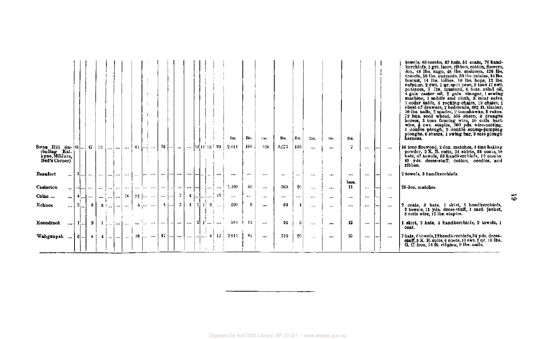|                                                                                            |   |                      |                         |                  |             |                             |          |          |                                                            |                 |                                     |                 |                           |     |                                        |                                                   | lbs.            | Ils.       | lbs.          | lbs.     | lbs.     | lbs.     | Tbs.      | lbs.        |          |      |          | towels, 48 combs, 87 hats, 51 coats, 76 hand-<br>kerchiefs, 1 grs. laces, ribbon, cotton, flowers,<br>&c., 48 lbs. sago, 48 lbs. maizena, 126 lbs.<br>treacle, 50 lbs. currants, 50 lbs. raisins, 14 lbs.<br>bisenit, 14 lbs, lollies, 10 lbs. hops, 12 lbs.<br>sulphur, 2 cwt. 1 qr. split peas, 2 tons 17 cwt.<br>potatoes, 7 lbs. mustard, 6 bots. salad oil,<br>4 gals, castor oil, 2 gals, vinegar, 1 sewing<br>machine, 1 saddle and cloth, 8 meat safes,<br>1 cedar table, 4 rocking-chairs, 12 chairs, 1<br>chest of drawers, 2 bedsteads, 882 ft. timber,<br>10 lbs. nails. 2 spades, 2 tomahawks, 3 rakes.<br>72 bus. seed wheat, 505 sheep, 8 draught<br>horses, 3 tons fencing wire, 10 coils barb<br>wire, $\frac{1}{2}$ cwt. staples, 900 yds. wire-netting,<br>1 double plough, 2 double stump-jumping<br>ploughs, 6 shears, 1 swing bar, 2 sets plough<br>harness. |
|--------------------------------------------------------------------------------------------|---|----------------------|-------------------------|------------------|-------------|-----------------------------|----------|----------|------------------------------------------------------------|-----------------|-------------------------------------|-----------------|---------------------------|-----|----------------------------------------|---------------------------------------------------|-----------------|------------|---------------|----------|----------|----------|-----------|-------------|----------|------|----------|------------------------------------------------------------------------------------------------------------------------------------------------------------------------------------------------------------------------------------------------------------------------------------------------------------------------------------------------------------------------------------------------------------------------------------------------------------------------------------------------------------------------------------------------------------------------------------------------------------------------------------------------------------------------------------------------------------------------------------------------------------------------------------------------------------------------------------------------------------------------------------|
| <b>Swan</b> Hill (in- $\{41,\}$ 47   31<br>cluding Kal-<br>kyne, Mildura,<br>Ned's Corner) |   |                      |                         |                  | $\ddotsc$   |                             |          |          | $\lfloor  \rfloor$ $\lfloor 44 \rfloor$ $\lfloor  \rfloor$ | $28$            | المند                               |                 |                           |     |                                        | $\ldots$ [19] $\pm$ 33 $\pm$ 24                   | 2,414           | 188        | 108           | 1,673    | 150      | $\cdots$ |           | 7           | $\cdots$ | 1    | $\cdots$ | 16 tons firewood, 2 doz. matches, 4 tins baking<br>powder, 2 K. B. suits, 24 skirts, 33 coats, 58<br>hats, 47 towels, 59 handkerchiefs, 12 combs,<br>43 yds. dress-stuff, cotton, needles, and<br>ribbon.                                                                                                                                                                                                                                                                                                                                                                                                                                                                                                                                                                                                                                                                          |
| <b>Beaufort</b>                                                                            |   | المطاط               |                         |                  | المعدل لحجت | i I                         | $\cdots$ | $\cdots$ | .                                                          | an jed          | $\cdots$                            |                 | the below                 |     |                                        |                                                   |                 |            | $\cdots$      | $\cdots$ | $\cdots$ |          |           |             | $\cdots$ | ۱. . | $\cdots$ | 2 towels, 3 handkerchiefs.                                                                                                                                                                                                                                                                                                                                                                                                                                                                                                                                                                                                                                                                                                                                                                                                                                                         |
| Casterton                                                                                  |   | التناوينا عبدا       | $\bullet\bullet\bullet$ | المتراجين إحتمال |             |                             | $\cdots$ |          | and the series                                             | <b>Services</b> |                                     |                 | المتساويرا ففارعهم المعدد |     |                                        | $\cdots$                                          | 1,400           | 50         | $\cdots$      | 369      | 20       | $\cdots$ |           | bara.<br>11 | $***$    |      | $\cdots$ | 25 doz. matches.                                                                                                                                                                                                                                                                                                                                                                                                                                                                                                                                                                                                                                                                                                                                                                                                                                                                   |
| Colac                                                                                      | 1 | $(4)$ <sub>0.0</sub> |                         | المتراسرة لمت    |             |                             | $26$ ]   |          | $32 \left[ \ldots \right]$                                 | المعاديد        |                                     | $2 \frac{1}{2}$ |                           |     |                                        | $4 \text{ [m]} \text{} \text{]} \text{} \cdot 15$ | $\sim$ - $\sim$ | $\cdots$   | $\rightarrow$ |          |          | $\cdots$ | $\ddotsc$ |             |          |      | $\cdots$ |                                                                                                                                                                                                                                                                                                                                                                                                                                                                                                                                                                                                                                                                                                                                                                                                                                                                                    |
| Echuca                                                                                     |   | $\ldots$ 3.          | - 3- 1                  |                  |             | $3 \nmid      $             |          |          | and department                                             | $-4$            |                                     | 2               | $4 \mid 1 \mid 1 \mid 2$  |     |                                        |                                                   | 200             | 8          |               | 64       | 4        | $\cdots$ |           | $\cdots$    |          |      | $\cdots$ | 2 coats, 3 hats, 1 skirt, 5 handkerchiefs,<br>2 towels, 11 yds. dress-stuff, 1 card. jacket,<br>8 coils wire, 12 lbs. staples.                                                                                                                                                                                                                                                                                                                                                                                                                                                                                                                                                                                                                                                                                                                                                     |
| Koondrook                                                                                  |   | $$ } 1!              | $\sim$                  |                  |             | $\{1, , \}$ and $\{1, , \}$ | $\sim$   |          | <b>Search Control</b>                                      | <br>استهدت      | $$                                  |                 | $\cdots$                  | -11 | $\mathbf{1}^{\mathsf{t}}$ $\mathsf{t}$ |                                                   |                 | $384 + 12$ | $\ddotsc$     | 96       | 6        | $\cdots$ | $\cdots$  | 12          | $\cdots$ |      | $\cdots$ | 1 skirt, 2 hats, 4 handkerchiefs, 2 towels, 1<br>coat.                                                                                                                                                                                                                                                                                                                                                                                                                                                                                                                                                                                                                                                                                                                                                                                                                             |
| Wabgunyah                                                                                  |   | $\dots$   6 $\dots$  | -41                     |                  |             | $4 \,   \ldots   \ldots  $  |          |          | $\ldots$ [ 10 $\ldots$ $\ldots$                            |                 | $\ 17\ $ and an $\ $ and and a $\ $ |                 |                           |     |                                        | 12 <sup>1</sup>                                   | 2,614           | -85        | $\cdots$      | 710      | 20       | $\cdots$ | $\cdots$  | 25          | $\cdots$ | …∣   | $\sim$   | 7 hats, 6 towels, 12 handkerchiefs, 34 yds. dress-<br>stuff, 8 K. B. suits, 4 costs, 10 cwt. 1 qr. 10 lbs.<br>G. C. iron, 24 ft. ridging, 9 lbs. nails.                                                                                                                                                                                                                                                                                                                                                                                                                                                                                                                                                                                                                                                                                                                            |

 $\overline{6}$